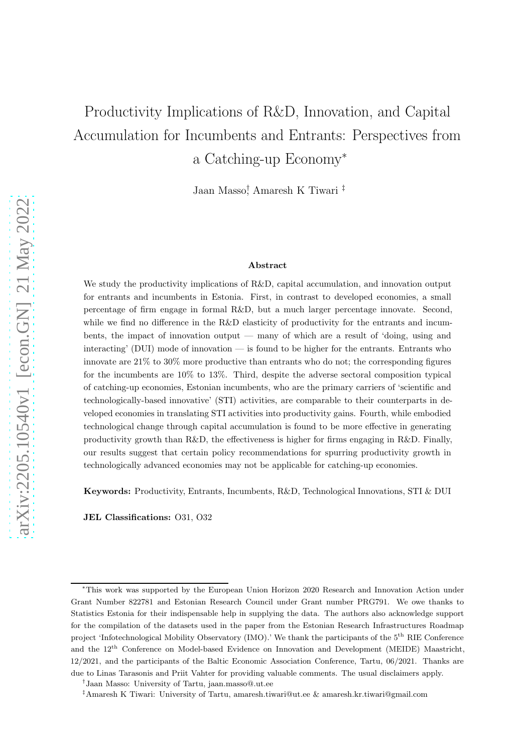# Productivity Implications of R&D, Innovation, and Capital Accumulation for Incumbents and Entrants: Perspectives from a Catching-up Economy<sup>∗</sup>

Jaan Masso† , Amaresh K Tiwari ‡

#### Abstract

We study the productivity implications of R&D, capital accumulation, and innovation output for entrants and incumbents in Estonia. First, in contrast to developed economies, a small percentage of firm engage in formal R&D, but a much larger percentage innovate. Second, while we find no difference in the R&D elasticity of productivity for the entrants and incumbents, the impact of innovation output — many of which are a result of 'doing, using and interacting' (DUI) mode of innovation — is found to be higher for the entrants. Entrants who innovate are 21% to 30% more productive than entrants who do not; the corresponding figures for the incumbents are 10% to 13%. Third, despite the adverse sectoral composition typical of catching-up economies, Estonian incumbents, who are the primary carriers of 'scientific and technologically-based innovative' (STI) activities, are comparable to their counterparts in developed economies in translating STI activities into productivity gains. Fourth, while embodied technological change through capital accumulation is found to be more effective in generating productivity growth than R&D, the effectiveness is higher for firms engaging in R&D. Finally, our results suggest that certain policy recommendations for spurring productivity growth in technologically advanced economies may not be applicable for catching-up economies.

Keywords: Productivity, Entrants, Incumbents, R&D, Technological Innovations, STI & DUI

JEL Classifications: O31, O32

<sup>∗</sup>This work was supported by the European Union Horizon 2020 Research and Innovation Action under Grant Number 822781 and Estonian Research Council under Grant number PRG791. We owe thanks to Statistics Estonia for their indispensable help in supplying the data. The authors also acknowledge support for the compilation of the datasets used in the paper from the Estonian Research Infrastructures Roadmap project 'Infotechnological Mobility Observatory (IMO).' We thank the participants of the 5<sup>th</sup> RIE Conference and the 12th Conference on Model-based Evidence on Innovation and Development (MEIDE) Maastricht, 12/2021, and the participants of the Baltic Economic Association Conference, Tartu, 06/2021. Thanks are due to Linas Tarasonis and Priit Vahter for providing valuable comments. The usual disclaimers apply.

<sup>†</sup> Jaan Masso: University of Tartu, jaan.masso@.ut.ee

<sup>‡</sup>Amaresh K Tiwari: University of Tartu, amaresh.tiwari@ut.ee & amaresh.kr.tiwari@gmail.com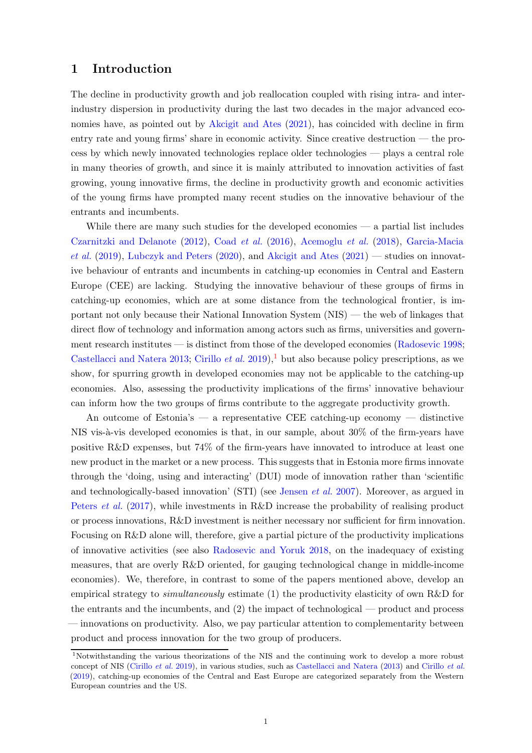#### 1 Introduction

The decline in productivity growth and job reallocation coupled with rising intra- and interindustry dispersion in productivity during the last two decades in the major advanced economies have, as pointed out by [Akcigit and Ates](#page-22-0) [\(2021\)](#page-22-0), has coincided with decline in firm entry rate and young firms' share in economic activity. Since creative destruction — the process by which newly innovated technologies replace older technologies — plays a central role in many theories of growth, and since it is mainly attributed to innovation activities of fast growing, young innovative firms, the decline in productivity growth and economic activities of the young firms have prompted many recent studies on the innovative behaviour of the entrants and incumbents.

While there are many such studies for the developed economies — a partial list includes [Czarnitzki and Delanote](#page-23-0) [\(2012\)](#page-23-0), Coad [et al.](#page-23-1) [\(2016](#page-23-1)), [Acemoglu](#page-22-1) et al. [\(2018\)](#page-22-1), Garcia-Macia et al.  $(2019)$ , [Lubczyk and Peters](#page-24-1)  $(2020)$ , and [Akcigit and Ates](#page-22-0)  $(2021)$  $(2021)$  — studies on innovative behaviour of entrants and incumbents in catching-up economies in Central and Eastern Europe (CEE) are lacking. Studying the innovative behaviour of these groups of firms in catching-up economies, which are at some distance from the technological frontier, is important not only because their National Innovation System (NIS) — the web of linkages that direct flow of technology and information among actors such as firms, universities and govern-ment research institutes — is distinct from those of the developed economies [\(Radosevic 1998;](#page-25-0) [Castellacci and Natera 2013](#page-23-2); [Cirillo](#page-23-3) *et al.* [2019\)](#page-23-3),<sup>1</sup> but also because policy prescriptions, as we show, for spurring growth in developed economies may not be applicable to the catching-up economies. Also, assessing the productivity implications of the firms' innovative behaviour can inform how the two groups of firms contribute to the aggregate productivity growth.

An outcome of Estonia's — a representative CEE catching-up economy — distinctive NIS vis- $\alpha$ -vis developed economies is that, in our sample, about 30% of the firm-years have positive R&D expenses, but 74% of the firm-years have innovated to introduce at least one new product in the market or a new process. This suggests that in Estonia more firms innovate through the 'doing, using and interacting' (DUI) mode of innovation rather than 'scientific and technologically-based innovation' (STI) (see [Jensen](#page-24-2) *et al.* [2007](#page-24-2)). Moreover, as argued in [Peters](#page-25-1) *et al.* [\(2017](#page-25-1)), while investments in R&D increase the probability of realising product or process innovations, R&D investment is neither necessary nor sufficient for firm innovation. Focusing on R&D alone will, therefore, give a partial picture of the productivity implications of innovative activities (see also [Radosevic and Yoruk 2018](#page-25-2), on the inadequacy of existing measures, that are overly R&D oriented, for gauging technological change in middle-income economies). We, therefore, in contrast to some of the papers mentioned above, develop an empirical strategy to *simultaneously* estimate  $(1)$  the productivity elasticity of own R&D for the entrants and the incumbents, and (2) the impact of technological — product and process — innovations on productivity. Also, we pay particular attention to complementarity between product and process innovation for the two group of producers.

<sup>1</sup>Notwithstanding the various theorizations of the NIS and the continuing work to develop a more robust concept of NIS [\(Cirillo](#page-23-3) et al. [2019\)](#page-23-3), in various studies, such as [Castellacci and Natera](#page-23-2) [\(2013](#page-23-2)) and [Cirillo](#page-23-3) et al. [\(2019](#page-23-3)), catching-up economies of the Central and East Europe are categorized separately from the Western European countries and the US.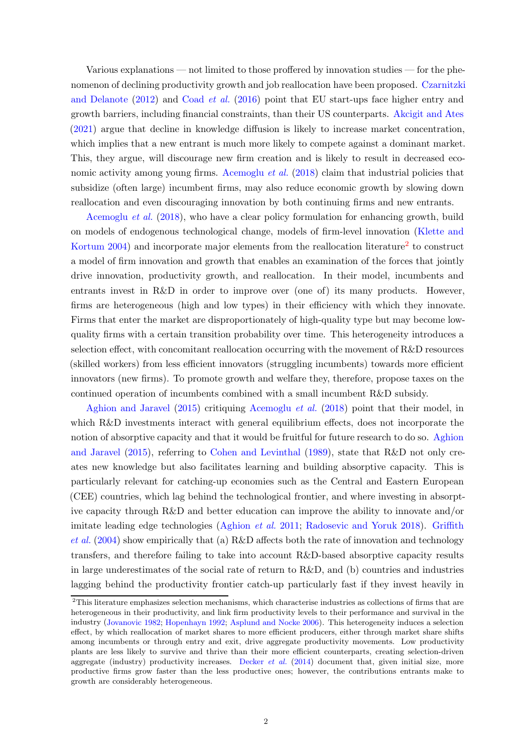Various explanations — not limited to those proffered by innovation studies — for the phenomenon of d[eclining productivity growth and job reallocation have been proposed.](#page-23-0) Czarnitzki and Delanote  $(2012)$  $(2012)$  and [Coad](#page-23-1) *et al.*  $(2016)$  $(2016)$  point that EU start-ups face higher entry and growth barriers, including financial constraints, than their US counterparts. [Akcigit and Ates](#page-22-0) [\(2021\)](#page-22-0) argue that decline in knowledge diffusion is likely to increase market concentration, which implies that a new entrant is much more likely to compete against a dominant market. This, they argue, will discourage new firm creation and is likely to result in decreased eco-nomic activity among young firms. [Acemoglu](#page-22-1) *et al.*  $(2018)$  $(2018)$  claim that industrial policies that subsidize (often large) incumbent firms, may also reduce economic growth by slowing down [reallocation and eve](#page-22-1)n discouraging innovation by both continuing firms and new entrants.

Acemoglu et al. [\(2018\)](#page-22-1), who have a clear policy formulation for enhancing growth, build on mod[els of endogenous technological change, models of firm-level innovation \(](#page-24-3)Klette and Kortum [2004](#page-24-3)) and incorporate major elements from the reallocation literature<sup>2</sup> to construct a model of firm innovation and growth that enables an examination of the forces that jointly drive innovation, productivity growth, and reallocation. In their model, incumbents and entrants invest in R&D in order to improve over (one of) its many products. However, firms are heterogeneous (high and low types) in their efficiency with which they innovate. Firms that enter the market are disproportionately of high-quality type but may become lowquality firms with a certain transition probability over time. This heterogeneity introduces a selection effect, with concomitant reallocation occurring with the movement of R&D resources (skilled workers) from less efficient innovators (struggling incumbents) towards more efficient innovators (new firms). To promote growth and welfare they, therefore, propose taxes on the [continued operation of](#page-22-2) incumbents combined with a small incumbent R&D subsidy.

Aghion and Jaravel [\(2015](#page-22-2)) critiquing [Acemoglu](#page-22-1) et al. [\(2018\)](#page-22-1) point that their model, in which R&D investments interact with general equilibrium effects, does not incorporate the notion of a[bsorptive capacity and that it would be fruitful for future research to do so.](#page-22-2) Aghion and Jaravel [\(2015\)](#page-22-2), referring to [Cohen and Levinthal](#page-23-4) [\(1989](#page-23-4)), state that R&D not only creates new knowledge but also facilitates learning and building absorptive capacity. This is particularly relevant for catching-up economies such as the Central and Eastern European (CEE) countries, which lag behind the technological frontier, and where investing in absorptive capacity through R&D and better education can improve the ability to innovate and/or imit[ate leading edge technologies](#page-24-4) [\(Aghion](#page-22-3) *et al.* [2011;](#page-22-3) [Radosevic and Yoruk 2018\)](#page-25-2). Griffith  $et al. (2004)$  $et al. (2004)$  show empirically that (a) R&D affects both the rate of innovation and technology transfers, and therefore failing to take into account R&D-based absorptive capacity results in large underestimates of the social rate of return to  $R&D$ , and (b) countries and industries lagging behind the productivity frontier catch-up particularly fast if they invest heavily in

 $2$ This literature emphasizes selection mechanisms, which characterise industries as collections of firms that are heterogeneous in their productivity, and link firm productivity levels to their performance and survival in the industry [\(Jovanovic 1982;](#page-24-5) [Hopenhayn 1992;](#page-24-6) [Asplund and Nocke 2006\)](#page-22-4). This heterogeneity induces a selection effect, by which reallocation of market shares to more efficient producers, either through market share shifts among incumbents or through entry and exit, drive aggregate productivity movements. Low productivity plants are less likely to survive and thrive than their more efficient counterparts, creating selection-driven aggregate (industry) productivity increases. [Decker](#page-23-5) *et al.*  $(2014)$  $(2014)$  document that, given initial size, more productive firms grow faster than the less productive ones; however, the contributions entrants make to growth are considerably heterogeneous.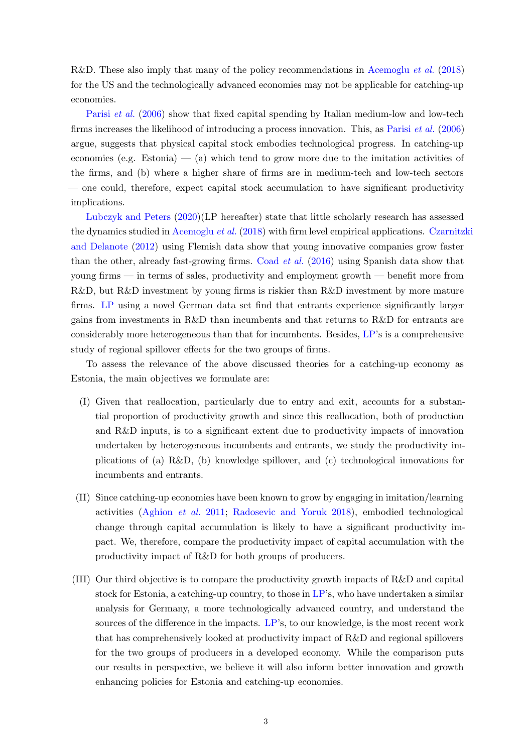R&D. These also imply that many of the policy recommendations in [Acemoglu](#page-22-1) *et al.* [\(2018\)](#page-22-1) for the US and the technologically advanced economies may not be applicable for catching-up [economies.](#page-25-3)

Parisi et al. [\(2006\)](#page-25-3) show that fixed capital spending by Italian medium-low and low-tech firms increases the likelihood of introducing a process innovation. This, as [Parisi](#page-25-3) et al. [\(2006\)](#page-25-3) argue, suggests that physical capital stock embodies technological progress. In catching-up economies (e.g. Estonia)  $-$  (a) which tend to grow more due to the imitation activities of the firms, and (b) where a higher share of firms are in medium-tech and low-tech sectors — one could, therefore, expect capital stock accumulation to have significant productivity [implications.](#page-24-1)

Lubczyk and Peters [\(2020](#page-24-1))(LP hereafter) state that little scholarly research has assessed the dynamics studied in [Acemoglu](#page-22-1) *et al.* [\(2018](#page-22-1)[\) with firm level empirical applications.](#page-23-0) Czarnitzki and Delanote [\(2012\)](#page-23-0) using Flemish data show that young innovative companies grow faster than the other, already fast-growing firms. [Coad](#page-23-1)  $et$  al.  $(2016)$  using Spanish data show that young firms — in terms of sales, productivity and employment growth — benefit more from R&D, but R&D investment by young firms is riskier than R&D investment by more mature firms. [LP](#page-24-1) using a novel German data set find that entrants experience significantly larger gains from investments in R&D than incumbents and that returns to R&D for entrants are considerably more heterogeneous than that for incumbents. Besides, [LP](#page-24-1)'s is a comprehensive study of regional spillover effects for the two groups of firms.

To assess the relevance of the above discussed theories for a catching-up economy as Estonia, the main objectives we formulate are:

- (I) Given that reallocation, particularly due to entry and exit, accounts for a substantial proportion of productivity growth and since this reallocation, both of production and R&D inputs, is to a significant extent due to productivity impacts of innovation undertaken by heterogeneous incumbents and entrants, we study the productivity implications of (a) R&D, (b) knowledge spillover, and (c) technological innovations for incumbents and entrants.
- (II) Since catching-up economies have been known to grow by engaging in imitation/learning activities [\(Aghion](#page-22-3) et al. [2011;](#page-22-3) [Radosevic and Yoruk 2018\)](#page-25-2), embodied technological change through capital accumulation is likely to have a significant productivity impact. We, therefore, compare the productivity impact of capital accumulation with the productivity impact of R&D for both groups of producers.
- (III) Our third objective is to compare the productivity growth impacts of R&D and capital stock for Estonia, a catching-up country, to those in [LP'](#page-24-1)s, who have undertaken a similar analysis for Germany, a more technologically advanced country, and understand the sources of the difference in the impacts. [LP](#page-24-1)'s, to our knowledge, is the most recent work that has comprehensively looked at productivity impact of R&D and regional spillovers for the two groups of producers in a developed economy. While the comparison puts our results in perspective, we believe it will also inform better innovation and growth enhancing policies for Estonia and catching-up economies.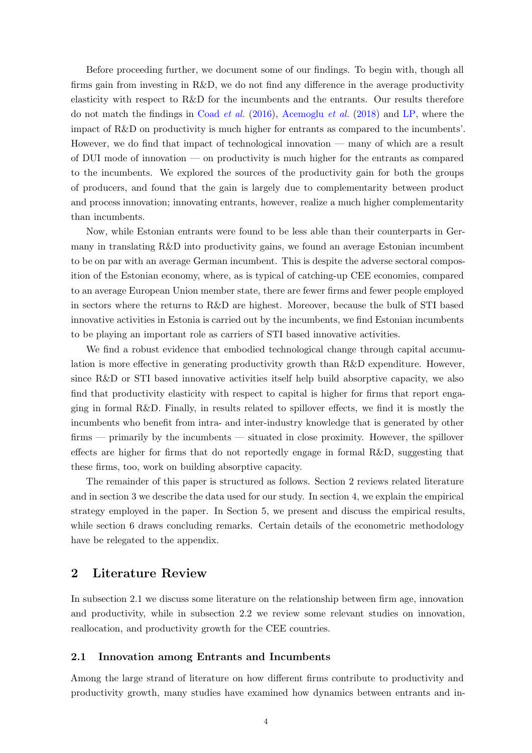Before proceeding further, we document some of our findings. To begin with, though all firms gain from investing in R&D, we do not find any difference in the average productivity elasticity with respect to R&D for the incumbents and the entrants. Our results therefore do not match the findings in [Coad](#page-23-1) *et al.* [\(2016\)](#page-23-1), [Acemoglu](#page-22-1) *et al.* [\(2018\)](#page-22-1) and [LP,](#page-24-1) where the impact of R&D on productivity is much higher for entrants as compared to the incumbents'. However, we do find that impact of technological innovation — many of which are a result of DUI mode of innovation — on productivity is much higher for the entrants as compared to the incumbents. We explored the sources of the productivity gain for both the groups of producers, and found that the gain is largely due to complementarity between product and process innovation; innovating entrants, however, realize a much higher complementarity than incumbents.

Now, while Estonian entrants were found to be less able than their counterparts in Germany in translating R&D into productivity gains, we found an average Estonian incumbent to be on par with an average German incumbent. This is despite the adverse sectoral composition of the Estonian economy, where, as is typical of catching-up CEE economies, compared to an average European Union member state, there are fewer firms and fewer people employed in sectors where the returns to R&D are highest. Moreover, because the bulk of STI based innovative activities in Estonia is carried out by the incumbents, we find Estonian incumbents to be playing an important role as carriers of STI based innovative activities.

We find a robust evidence that embodied technological change through capital accumulation is more effective in generating productivity growth than R&D expenditure. However, since R&D or STI based innovative activities itself help build absorptive capacity, we also find that productivity elasticity with respect to capital is higher for firms that report engaging in formal R&D. Finally, in results related to spillover effects, we find it is mostly the incumbents who benefit from intra- and inter-industry knowledge that is generated by other firms — primarily by the incumbents — situated in close proximity. However, the spillover effects are higher for firms that do not reportedly engage in formal R&D, suggesting that these firms, too, work on building absorptive capacity.

The remainder of this paper is structured as follows. Section 2 reviews related literature and in section 3 we describe the data used for our study. In section 4, we explain the empirical strategy employed in the paper. In Section 5, we present and discuss the empirical results, while section 6 draws concluding remarks. Certain details of the econometric methodology have be relegated to the appendix.

## 2 Literature Review

In subsection 2.1 we discuss some literature on the relationship between firm age, innovation and productivity, while in subsection 2.2 we review some relevant studies on innovation, reallocation, and productivity growth for the CEE countries.

#### 2.1 Innovation among Entrants and Incumbents

Among the large strand of literature on how different firms contribute to productivity and productivity growth, many studies have examined how dynamics between entrants and in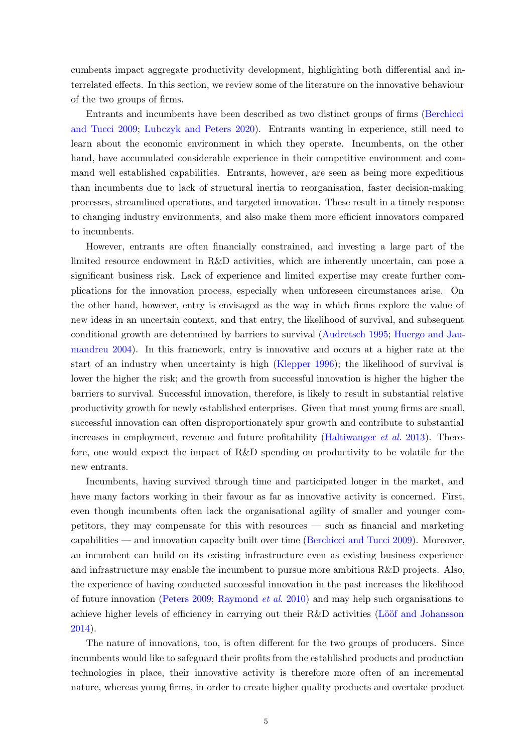cumbents impact aggregate productivity development, highlighting both differential and interrelated effects. In this section, we review some of the literature on the innovative behaviour of the two groups of firms.

Entra[nts and incumbents have been described as two distinct](#page-23-6) groups of firms (Berchicci and Tucci [2009;](#page-23-6) [Lubczyk and Peters 2020\)](#page-24-1). Entrants wanting in experience, still need to learn about the economic environment in which they operate. Incumbents, on the other hand, have accumulated considerable experience in their competitive environment and command well established capabilities. Entrants, however, are seen as being more expeditious than incumbents due to lack of structural inertia to reorganisation, faster decision-making processes, streamlined operations, and targeted innovation. These result in a timely response to changing industry environments, and also make them more efficient innovators compared to incumbents.

However, entrants are often financially constrained, and investing a large part of the limited resource endowment in R&D activities, which are inherently uncertain, can pose a significant business risk. Lack of experience and limited expertise may create further complications for the innovation process, especially when unforeseen circumstances arise. On the other hand, however, entry is envisaged as the way in which firms explore the value of new ideas in an uncertain context, and that entry, the likelihood of survival, and subsequent conditio[nal growth are determined by barriers to survival](#page-24-7) [\(Audretsch 1995](#page-23-7)[;](#page-24-7) Huergo and Jaumandreu [2004](#page-24-7)). In this framework, entry is innovative and occurs at a higher rate at the start of an industry when uncertainty is high [\(Klepper 1996\)](#page-24-8); the likelihood of survival is lower the higher the risk; and the growth from successful innovation is higher the higher the barriers to survival. Successful innovation, therefore, is likely to result in substantial relative productivity growth for newly established enterprises. Given that most young firms are small, successful innovation can often disproportionately spur growth and contribute to substantial increases in employment, revenue and future profitability [\(Haltiwanger](#page-24-9) et al. [2013](#page-24-9)). Therefore, one would expect the impact of R&D spending on productivity to be volatile for the new entrants.

Incumbents, having survived through time and participated longer in the market, and have many factors working in their favour as far as innovative activity is concerned. First, even though incumbents often lack the organisational agility of smaller and younger competitors, they may compensate for this with resources — such as financial and marketing capabilities — and innovation capacity built over time [\(Berchicci and Tucci 2009\)](#page-23-6). Moreover, an incumbent can build on its existing infrastructure even as existing business experience and infrastructure may enable the incumbent to pursue more ambitious R&D projects. Also, the experience of having conducted successful innovation in the past increases the likelihood of future innovation [\(Peters 2009;](#page-25-4) [Raymond](#page-25-5) *et al.* [2010\)](#page-25-5) and may help such organisations to achieve higher levels of efficiency in carrying out their R&D activities (Lööf and Johansson [2014\)](#page-24-10).

The nature of innovations, too, is often different for the two groups of producers. Since incumbents would like to safeguard their profits from the established products and production technologies in place, their innovative activity is therefore more often of an incremental nature, whereas young firms, in order to create higher quality products and overtake product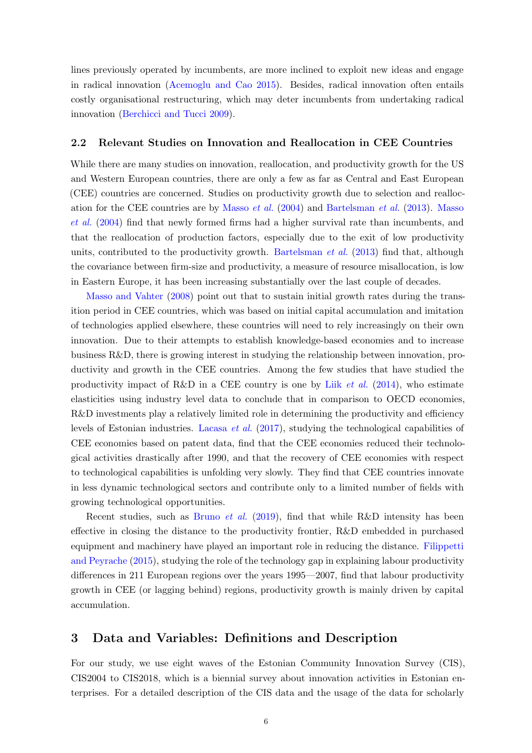lines previously operated by incumbents, are more inclined to exploit new ideas and engage in radical innovation [\(Acemoglu and Cao 2015\)](#page-22-5). Besides, radical innovation often entails costly organisational restructuring, which may deter incumbents from undertaking radical innovation [\(Berchicci and Tucci 2009\)](#page-23-6).

#### 2.2 Relevant Studies on Innovation and Reallocation in CEE Countries

While there are many studies on innovation, reallocation, and productivity growth for the US and Western European countries, there are only a few as far as Central and East European (CEE) countries are concerned. Studies on productivity growth due to selection and reallocatio[n for the CEE countries are by](#page-25-6) [Masso](#page-25-6) et al. [\(2004\)](#page-25-6) and [Bartelsman](#page-23-8) et al. [\(2013\)](#page-23-8). Masso et al. [\(2004](#page-25-6)) find that newly formed firms had a higher survival rate than incumbents, and that the reallocation of production factors, especially due to the exit of low productivity units, contributed to the productivity growth. [Bartelsman](#page-23-8) *et al.*  $(2013)$  $(2013)$  find that, although the covariance between firm-size and productivity, a measure of resource misallocation, is low [in Eastern Europe, it](#page-25-7) has been increasing substantially over the last couple of decades.

Masso and Vahter [\(2008](#page-25-7)) point out that to sustain initial growth rates during the transition period in CEE countries, which was based on initial capital accumulation and imitation of technologies applied elsewhere, these countries will need to rely increasingly on their own innovation. Due to their attempts to establish knowledge-based economies and to increase business R&D, there is growing interest in studying the relationship between innovation, productivity and growth in the CEE countries. Among the few studies that have studied the productivity impact of R&D in a CEE country is one by Liik *[et al.](#page-24-11)* [\(2014](#page-24-11)), who estimate elasticities using industry level data to conclude that in comparison to OECD economies, R&D investments play a relatively limited role in determining the productivity and efficiency levels of Estonian industries. [Lacasa](#page-24-12) et al. [\(2017](#page-24-12)), studying the technological capabilities of CEE economies based on patent data, find that the CEE economies reduced their technological activities drastically after 1990, and that the recovery of CEE economies with respect to technological capabilities is unfolding very slowly. They find that CEE countries innovate in less dynamic technological sectors and contribute only to a limited number of fields with growing technological opportunities.

Recent studies, such as [Bruno](#page-23-9) *et al.* [\(2019\)](#page-23-9), find that while R&D intensity has been effective in closing the distance to the productivity frontier, R&D embedded in purchased equipment a[nd machinery have played an important role in reducing the distance.](#page-23-10) Filippetti and Peyrache [\(2015\)](#page-23-10), studying the role of the technology gap in explaining labour productivity differences in 211 European regions over the years 1995—2007, find that labour productivity growth in CEE (or lagging behind) regions, productivity growth is mainly driven by capital accumulation.

#### 3 Data and Variables: Definitions and Description

For our study, we use eight waves of the Estonian Community Innovation Survey (CIS), CIS2004 to CIS2018, which is a biennial survey about innovation activities in Estonian enterprises. For a detailed description of the CIS data and the usage of the data for scholarly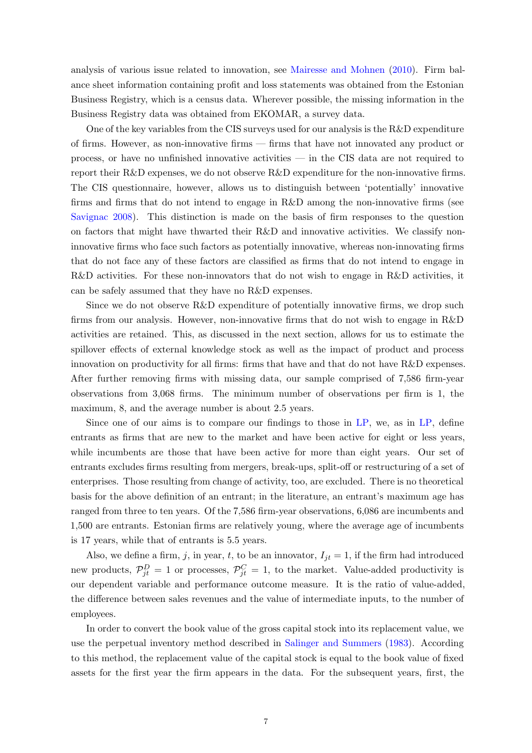analysis of various issue related to innovation, see [Mairesse and Mohnen](#page-24-13) [\(2010\)](#page-24-13). Firm balance sheet information containing profit and loss statements was obtained from the Estonian Business Registry, which is a census data. Wherever possible, the missing information in the Business Registry data was obtained from EKOMAR, a survey data.

One of the key variables from the CIS surveys used for our analysis is the R&D expenditure of firms. However, as non-innovative firms — firms that have not innovated any product or process, or have no unfinished innovative activities — in the CIS data are not required to report their R&D expenses, we do not observe R&D expenditure for the non-innovative firms. The CIS questionnaire, however, allows us to distinguish between 'potentially' innovative firms and firms that do not intend to engage in R&D among the non-innovative firms (see [Savignac 2008\)](#page-26-0). This distinction is made on the basis of firm responses to the question on factors that might have thwarted their R&D and innovative activities. We classify noninnovative firms who face such factors as potentially innovative, whereas non-innovating firms that do not face any of these factors are classified as firms that do not intend to engage in R&D activities. For these non-innovators that do not wish to engage in R&D activities, it can be safely assumed that they have no R&D expenses.

Since we do not observe R&D expenditure of potentially innovative firms, we drop such firms from our analysis. However, non-innovative firms that do not wish to engage in R&D activities are retained. This, as discussed in the next section, allows for us to estimate the spillover effects of external knowledge stock as well as the impact of product and process innovation on productivity for all firms: firms that have and that do not have R&D expenses. After further removing firms with missing data, our sample comprised of 7,586 firm-year observations from 3,068 firms. The minimum number of observations per firm is 1, the maximum, 8, and the average number is about 2.5 years.

Since one of our aims is to compare our findings to those in [LP,](#page-24-1) we, as in [LP](#page-24-1), define entrants as firms that are new to the market and have been active for eight or less years, while incumbents are those that have been active for more than eight years. Our set of entrants excludes firms resulting from mergers, break-ups, split-off or restructuring of a set of enterprises. Those resulting from change of activity, too, are excluded. There is no theoretical basis for the above definition of an entrant; in the literature, an entrant's maximum age has ranged from three to ten years. Of the 7,586 firm-year observations, 6,086 are incumbents and 1,500 are entrants. Estonian firms are relatively young, where the average age of incumbents is 17 years, while that of entrants is 5.5 years.

Also, we define a firm, j, in year, t, to be an innovator,  $I_{jt} = 1$ , if the firm had introduced new products,  $\mathcal{P}_{jt}^D = 1$  or processes,  $\mathcal{P}_{jt}^C = 1$ , to the market. Value-added productivity is our dependent variable and performance outcome measure. It is the ratio of value-added, the difference between sales revenues and the value of intermediate inputs, to the number of employees.

In order to convert the book value of the gross capital stock into its replacement value, we use the perpetual inventory method described in [Salinger and Summers](#page-25-8) [\(1983\)](#page-25-8). According to this method, the replacement value of the capital stock is equal to the book value of fixed assets for the first year the firm appears in the data. For the subsequent years, first, the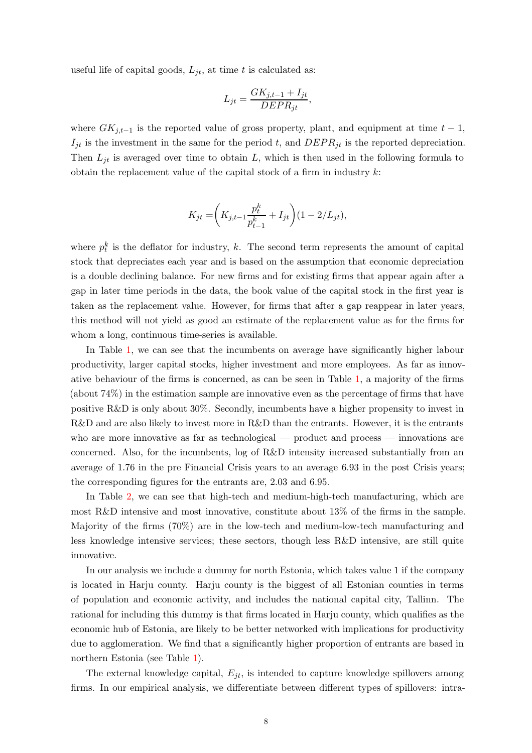useful life of capital goods,  $L_{jt}$ , at time t is calculated as:

$$
L_{jt} = \frac{GK_{j,t-1} + I_{jt}}{DEPR_{jt}},
$$

where  $GK_{j,t-1}$  is the reported value of gross property, plant, and equipment at time  $t-1$ ,  $I_{jt}$  is the investment in the same for the period t, and  $DEPR_{jt}$  is the reported depreciation. Then  $L_{jt}$  is averaged over time to obtain L, which is then used in the following formula to obtain the replacement value of the capital stock of a firm in industry  $k$ :

$$
K_{jt} = \left(K_{j,t-1} \frac{p_t^k}{p_{t-1}^k} + I_{jt}\right) (1 - 2/L_{jt}),
$$

where  $p_t^k$  is the deflator for industry, k. The second term represents the amount of capital stock that depreciates each year and is based on the assumption that economic depreciation is a double declining balance. For new firms and for existing firms that appear again after a gap in later time periods in the data, the book value of the capital stock in the first year is taken as the replacement value. However, for firms that after a gap reappear in later years, this method will not yield as good an estimate of the replacement value as for the firms for whom a long, continuous time-series is available.

In Table [1,](#page-30-0) we can see that the incumbents on average have significantly higher labour productivity, larger capital stocks, higher investment and more employees. As far as innovative behaviour of the firms is concerned, as can be seen in Table [1,](#page-30-0) a majority of the firms (about 74%) in the estimation sample are innovative even as the percentage of firms that have positive R&D is only about 30%. Secondly, incumbents have a higher propensity to invest in R&D and are also likely to invest more in R&D than the entrants. However, it is the entrants who are more innovative as far as technological — product and process — innovations are concerned. Also, for the incumbents, log of R&D intensity increased substantially from an average of 1.76 in the pre Financial Crisis years to an average 6.93 in the post Crisis years; the corresponding figures for the entrants are, 2.03 and 6.95.

In Table [2,](#page-30-1) we can see that high-tech and medium-high-tech manufacturing, which are most R&D intensive and most innovative, constitute about 13% of the firms in the sample. Majority of the firms (70%) are in the low-tech and medium-low-tech manufacturing and less knowledge intensive services; these sectors, though less R&D intensive, are still quite innovative.

In our analysis we include a dummy for north Estonia, which takes value 1 if the company is located in Harju county. Harju county is the biggest of all Estonian counties in terms of population and economic activity, and includes the national capital city, Tallinn. The rational for including this dummy is that firms located in Harju county, which qualifies as the economic hub of Estonia, are likely to be better networked with implications for productivity due to agglomeration. We find that a significantly higher proportion of entrants are based in northern Estonia (see Table [1\)](#page-30-0).

The external knowledge capital,  $E_{it}$ , is intended to capture knowledge spillovers among firms. In our empirical analysis, we differentiate between different types of spillovers: intra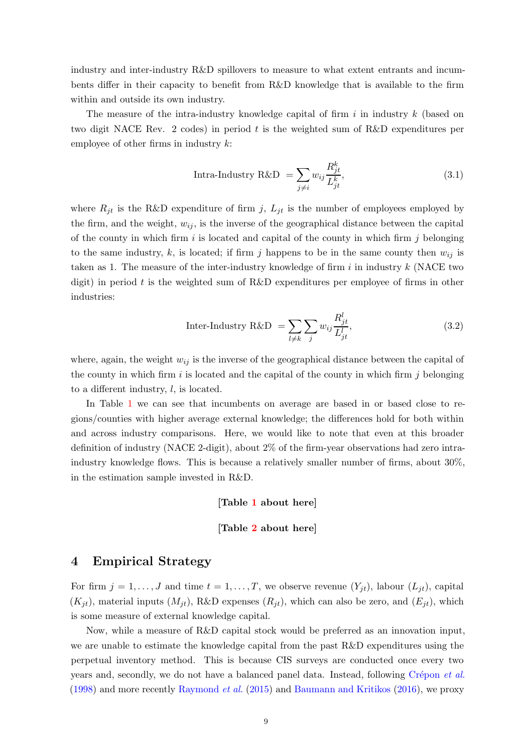industry and inter-industry R&D spillovers to measure to what extent entrants and incumbents differ in their capacity to benefit from R&D knowledge that is available to the firm within and outside its own industry.

The measure of the intra-industry knowledge capital of firm  $i$  in industry  $k$  (based on two digit NACE Rev. 2 codes) in period t is the weighted sum of R&D expenditures per employee of other firms in industry  $k$ :

Intra-Industry R&D = 
$$
\sum_{j \neq i} w_{ij} \frac{R_{jt}^k}{L_{jt}^k},
$$
 (3.1)

where  $R_{jt}$  is the R&D expenditure of firm j,  $L_{jt}$  is the number of employees employed by the firm, and the weight,  $w_{ij}$ , is the inverse of the geographical distance between the capital of the county in which firm i is located and capital of the county in which firm j belonging to the same industry, k, is located; if firm j happens to be in the same county then  $w_{ij}$  is taken as 1. The measure of the inter-industry knowledge of firm  $i$  in industry  $k$  (NACE two digit) in period t is the weighted sum of R&D expenditures per employee of firms in other industries:

Inter-Industry R&D = 
$$
\sum_{l \neq k} \sum_{j} w_{ij} \frac{R_{jt}^l}{L_{jt}^l},
$$
 (3.2)

where, again, the weight  $w_{ij}$  is the inverse of the geographical distance between the capital of the county in which firm  $i$  is located and the capital of the county in which firm  $j$  belonging to a different industry, l, is located.

In Table [1](#page-30-0) we can see that incumbents on average are based in or based close to regions/counties with higher average external knowledge; the differences hold for both within and across industry comparisons. Here, we would like to note that even at this broader definition of industry (NACE 2-digit), about 2% of the firm-year observations had zero intraindustry knowledge flows. This is because a relatively smaller number of firms, about 30%, in the estimation sample invested in R&D.

[Table [1](#page-30-0) about here]

#### [Table [2](#page-30-1) about here]

#### <span id="page-9-0"></span>4 Empirical Strategy

For firm  $j = 1, ..., J$  and time  $t = 1, ..., T$ , we observe revenue  $(Y_{jt})$ , labour  $(L_{jt})$ , capital  $(K_{jt})$ , material inputs  $(M_{jt})$ , R&D expenses  $(R_{jt})$ , which can also be zero, and  $(E_{jt})$ , which is some measure of external knowledge capital.

Now, while a measure of R&D capital stock would be preferred as an innovation input, we are unable to estimate the knowledge capital from the past R&D expenditures using the perpetual inventory method. This is because CIS surveys are conducted once every two years and, secondly, we do not have a balanced panel data. Instead, following Crépon et al. [\(1998\)](#page-23-11) and more recently [Raymond](#page-25-9) et al. [\(2015\)](#page-25-9) and [Baumann and Kritikos](#page-23-12) [\(2016\)](#page-23-12), we proxy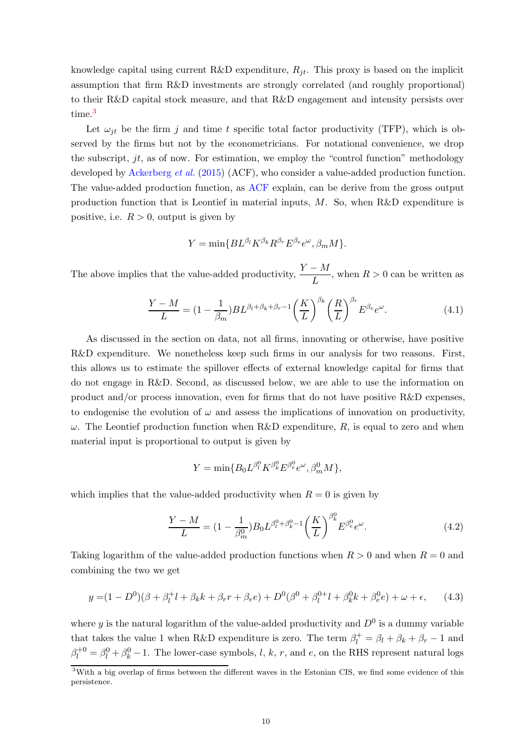knowledge capital using current R&D expenditure,  $R_{it}$ . This proxy is based on the implicit assumption that firm R&D investments are strongly correlated (and roughly proportional) to their R&D capital stock measure, and that R&D engagement and intensity persists over time.<sup>3</sup>

Let  $\omega_{jt}$  be the firm j and time t specific total factor productivity (TFP), which is observed by the firms but not by the econometricians. For notational convenience, we drop the subscript,  $jt$ , as of now. For estimation, we employ the "control function" methodology developed by [Ackerberg](#page-22-6) et al. [\(2015](#page-22-6)) (ACF), who consider a value-added production function. The value-added production function, as [ACF](#page-22-6) explain, can be derive from the gross output production function that is Leontief in material inputs,  $M$ . So, when R&D expenditure is positive, i.e.  $R > 0$ , output is given by

$$
Y=\min\{BL^{\beta_l}K^{\beta_k}R^{\beta_r}E^{\beta_e}e^{\omega},\beta_mM\}.
$$

The above implies that the value-added productivity,  $\frac{Y - M}{L}$ , when  $R > 0$  can be written as

$$
\frac{Y - M}{L} = (1 - \frac{1}{\beta_m}) BL^{\beta_l + \beta_k + \beta_r - 1} \left(\frac{K}{L}\right)^{\beta_k} \left(\frac{R}{L}\right)^{\beta_r} E^{\beta_e} e^{\omega}.
$$
 (4.1)

As discussed in the section on data, not all firms, innovating or otherwise, have positive R&D expenditure. We nonetheless keep such firms in our analysis for two reasons. First, this allows us to estimate the spillover effects of external knowledge capital for firms that do not engage in R&D. Second, as discussed below, we are able to use the information on product and/or process innovation, even for firms that do not have positive  $R\&D$  expenses, to endogenise the evolution of  $\omega$  and assess the implications of innovation on productivity,  $\omega$ . The Leontief production function when R&D expenditure, R, is equal to zero and when material input is proportional to output is given by

<span id="page-10-0"></span>
$$
Y=\min\{B_0L^{\beta^0_l}K^{\beta^0_k}E^{\beta^0_e}e^{\omega},\beta^0_mM\},
$$

which implies that the value-added productivity when  $R = 0$  is given by

$$
\frac{Y - M}{L} = (1 - \frac{1}{\beta_m^0}) B_0 L^{\beta_l^0 + \beta_k^0 - 1} \left(\frac{K}{L}\right)^{\beta_k^0} E^{\beta_e^0} e^{\omega}.
$$
 (4.2)

Taking logarithm of the value-added production functions when  $R > 0$  and when  $R = 0$  and combining the two we get

$$
y = (1 - D0)(\beta + \beta_l^+ l + \beta_k k + \beta_r r + \beta_e e) + D0(\beta^0 + \beta_l^{0+} l + \beta_k^0 k + \beta_e^0 e) + \omega + \epsilon,
$$
 (4.3)

where y is the natural logarithm of the value-added productivity and  $D^0$  is a dummy variable that takes the value 1 when R&D expenditure is zero. The term  $\beta_l^+ = \beta_l + \beta_k + \beta_r - 1$  and  $\beta_l^{+0} = \beta_l^0 + \beta_k^0 - 1$ . The lower-case symbols, *l*, *k*, *r*, and *e*, on the RHS represent natural logs

<sup>&</sup>lt;sup>3</sup>With a big overlap of firms between the different waves in the Estonian CIS, we find some evidence of this persistence.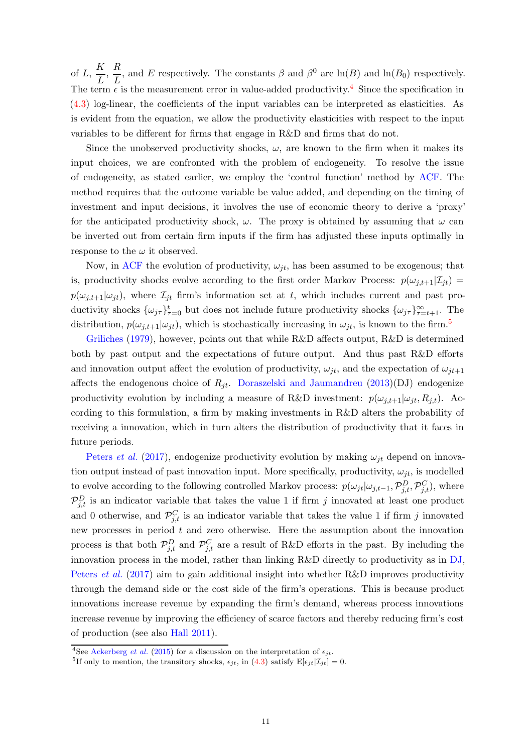of  $L, \frac{K}{\tau}$  $\frac{K}{L}, \frac{R}{L}$  $\frac{\partial}{\partial L}$ , and E respectively. The constants  $\beta$  and  $\beta^0$  are  $\ln(B)$  and  $\ln(B_0)$  respectively. The term  $\epsilon$  is the measurement error in value-added productivity.<sup>4</sup> Since the specification in [\(4.3\)](#page-10-0) log-linear, the coefficients of the input variables can be interpreted as elasticities. As is evident from the equation, we allow the productivity elasticities with respect to the input variables to be different for firms that engage in R&D and firms that do not.

Since the unobserved productivity shocks,  $\omega$ , are known to the firm when it makes its input choices, we are confronted with the problem of endogeneity. To resolve the issue of endogeneity, as stated earlier, we employ the 'control function' method by [ACF.](#page-22-6) The method requires that the outcome variable be value added, and depending on the timing of investment and input decisions, it involves the use of economic theory to derive a 'proxy' for the anticipated productivity shock,  $\omega$ . The proxy is obtained by assuming that  $\omega$  can be inverted out from certain firm inputs if the firm has adjusted these inputs optimally in response to the  $\omega$  it observed.

Now, in [ACF](#page-22-6) the evolution of productivity,  $\omega_{jt}$ , has been assumed to be exogenous; that is, productivity shocks evolve according to the first order Markov Process:  $p(\omega_{i,t+1}|\mathcal{I}_{it}) =$  $p(\omega_{j,t+1}|\omega_{jt})$ , where  $\mathcal{I}_{jt}$  firm's information set at t, which includes current and past productivity shocks  $\{\omega_{j\tau}\}_{\tau=0}^t$  but does not include future productivity shocks  $\{\omega_{j\tau}\}_{\tau=t+1}^{\infty}$ . The [distribution,](#page-24-14)  $p(\omega_{j,t+1}|\omega_{jt})$ , which is stochastically increasing in  $\omega_{jt}$ , is known to the firm.<sup>5</sup>

Griliches [\(1979](#page-24-14)), however, points out that while R&D affects output, R&D is determined both by past output and the expectations of future output. And thus past R&D efforts and innovation output affect the evolution of productivity,  $\omega_{it}$ , and the expectation of  $\omega_{it+1}$ affects the endogenous choice of  $R_{jt}$ . [Doraszelski and Jaumandreu](#page-23-13) [\(2013\)](#page-23-13)(DJ) endogenize productivity evolution by including a measure of R&D investment:  $p(\omega_{i,t+1}|\omega_{it}, R_{i,t})$ . According to this formulation, a firm by making investments in R&D alters the probability of receiving a innovation, which in turn alters the distribution of productivity that it faces in [future periods.](#page-25-1)

Peters *et al.* [\(2017\)](#page-25-1), endogenize productivity evolution by making  $\omega_{it}$  depend on innovation output instead of past innovation input. More specifically, productivity,  $\omega_{jt}$ , is modelled to evolve according to the following controlled Markov process:  $p(\omega_{jt}|\omega_{j,t-1}, \mathcal{P}_{j,t}^D, \mathcal{P}_{j,t}^C)$ , where  $\mathcal{P}_{j,t}^D$  is an indicator variable that takes the value 1 if firm j innovated at least one product and 0 otherwise, and  $\mathcal{P}_{j,t}^C$  is an indicator variable that takes the value 1 if firm j innovated new processes in period  $t$  and zero otherwise. Here the assumption about the innovation process is that both  $\mathcal{P}_{j,t}^D$  and  $\mathcal{P}_{j,t}^C$  are a result of R&D efforts in the past. By including the innovation process in the model, rather than linking R&D directly to productivity as in [DJ](#page-23-13), [Peters](#page-25-1) *et al.* [\(2017\)](#page-25-1) aim to gain additional insight into whether R&D improves productivity through the demand side or the cost side of the firm's operations. This is because product innovations increase revenue by expanding the firm's demand, whereas process innovations increase revenue by improving the efficiency of scarce factors and thereby reducing firm's cost of production (see also [Hall 2011\)](#page-24-15).

<sup>&</sup>lt;sup>4</sup>See [Ackerberg](#page-22-6) *et al.* [\(2015\)](#page-22-6) for a discussion on the interpretation of  $\epsilon_{jt}$ .

<sup>&</sup>lt;sup>5</sup>If only to mention, the transitory shocks,  $\epsilon_{jt}$ , in [\(4.3\)](#page-10-0) satisfy  $E[\epsilon_{jt}|\mathcal{I}_{jt}] = 0$ .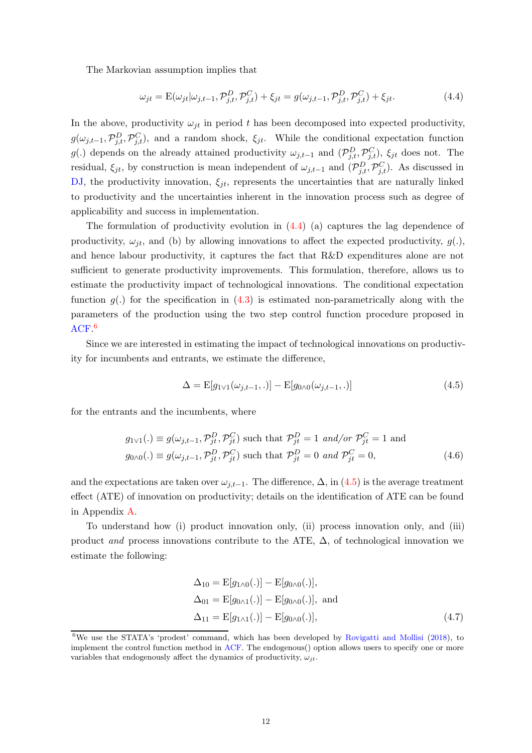The Markovian assumption implies that

<span id="page-12-0"></span>
$$
\omega_{jt} = \mathcal{E}(\omega_{jt}|\omega_{j,t-1}, \mathcal{P}_{j,t}^D, \mathcal{P}_{j,t}^C) + \xi_{jt} = g(\omega_{j,t-1}, \mathcal{P}_{j,t}^D, \mathcal{P}_{j,t}^C) + \xi_{jt}.
$$
\n(4.4)

In the above, productivity  $\omega_{it}$  in period t has been decomposed into expected productivity,  $g(\omega_{j,t-1}, \mathcal{P}_{j,t}^D, \mathcal{P}_{j,t}^C)$ , and a random shock,  $\xi_{jt}$ . While the conditional expectation function g(.) depends on the already attained productivity  $\omega_{j,t-1}$  and  $(\mathcal{P}_{j,t}^D, \mathcal{P}_{j,t}^C)$ ,  $\xi_{jt}$  does not. The residual,  $\xi_{jt}$ , by construction is mean independent of  $\omega_{j,t-1}$  and  $(\mathcal{P}_{j,t}^D, \mathcal{P}_{j,t}^C)$ . As discussed in [DJ](#page-23-13), the productivity innovation,  $\xi_{it}$ , represents the uncertainties that are naturally linked to productivity and the uncertainties inherent in the innovation process such as degree of applicability and success in implementation.

The formulation of productivity evolution in [\(4.4\)](#page-12-0) (a) captures the lag dependence of productivity,  $\omega_{jt}$ , and (b) by allowing innovations to affect the expected productivity,  $g(.)$ , and hence labour productivity, it captures the fact that R&D expenditures alone are not sufficient to generate productivity improvements. This formulation, therefore, allows us to estimate the productivity impact of technological innovations. The conditional expectation function  $g(.)$  for the specification in [\(4.3\)](#page-10-0) is estimated non-parametrically along with the parameters of the production using the two step control function procedure proposed in [ACF.](#page-22-6) 6

Since we are interested in estimating the impact of technological innovations on productivity for incumbents and entrants, we estimate the difference,

<span id="page-12-2"></span><span id="page-12-1"></span>
$$
\Delta = \mathbf{E}[g_{1\vee 1}(\omega_{j,t-1},.)] - \mathbf{E}[g_{0\wedge 0}(\omega_{j,t-1},.)]
$$
\n(4.5)

for the entrants and the incumbents, where

$$
g_{1\vee 1}(.) \equiv g(\omega_{j,t-1}, \mathcal{P}_{jt}^D, \mathcal{P}_{jt}^C) \text{ such that } \mathcal{P}_{jt}^D = 1 \text{ and/or } \mathcal{P}_{jt}^C = 1 \text{ and}
$$
  

$$
g_{0\wedge 0}(.) \equiv g(\omega_{j,t-1}, \mathcal{P}_{jt}^D, \mathcal{P}_{jt}^C) \text{ such that } \mathcal{P}_{jt}^D = 0 \text{ and } \mathcal{P}_{jt}^C = 0,
$$
 (4.6)

and the expectations are taken over  $\omega_{j,t-1}$ . The difference,  $\Delta$ , in [\(4.5\)](#page-12-1) is the average treatment effect (ATE) of innovation on productivity; details on the identification of ATE can be found in Appendix [A.](#page-27-0)

To understand how (i) product innovation only, (ii) process innovation only, and (iii) product and process innovations contribute to the ATE,  $\Delta$ , of technological innovation we estimate the following:

<span id="page-12-3"></span>
$$
\Delta_{10} = \mathcal{E}[g_{1\wedge 0}(.)] - \mathcal{E}[g_{0\wedge 0}(.)],
$$
  
\n
$$
\Delta_{01} = \mathcal{E}[g_{0\wedge 1}(.)] - \mathcal{E}[g_{0\wedge 0}(.)],
$$
 and  
\n
$$
\Delta_{11} = \mathcal{E}[g_{1\wedge 1}(.)] - \mathcal{E}[g_{0\wedge 0}(.)],
$$
\n(4.7)

<sup>&</sup>lt;sup>6</sup>We use the STATA's 'prodest' command, which has been developed by [Rovigatti and Mollisi](#page-25-10) [\(2018\)](#page-25-10), to implement the control function method in [ACF](#page-22-6). The endogenous() option allows users to specify one or more variables that endogenously affect the dynamics of productivity,  $\omega_{it}$ .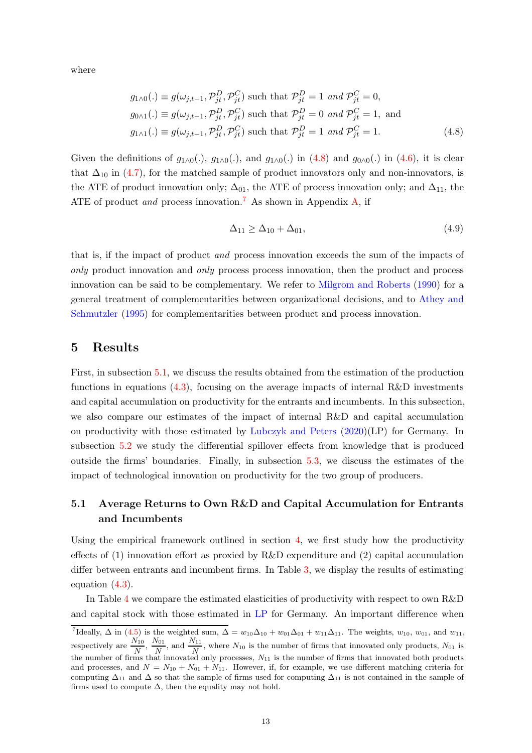where

$$
g_{1\wedge 0}(.) \equiv g(\omega_{j,t-1}, \mathcal{P}_{jt}^D, \mathcal{P}_{jt}^C) \text{ such that } \mathcal{P}_{jt}^D = 1 \text{ and } \mathcal{P}_{jt}^C = 0,
$$
  
\n
$$
g_{0\wedge 1}(.) \equiv g(\omega_{j,t-1}, \mathcal{P}_{jt}^D, \mathcal{P}_{jt}^C) \text{ such that } \mathcal{P}_{jt}^D = 0 \text{ and } \mathcal{P}_{jt}^C = 1, \text{ and}
$$
  
\n
$$
g_{1\wedge 1}(.) \equiv g(\omega_{j,t-1}, \mathcal{P}_{jt}^D, \mathcal{P}_{jt}^C) \text{ such that } \mathcal{P}_{jt}^D = 1 \text{ and } \mathcal{P}_{jt}^C = 1.
$$
\n(4.8)

Given the definitions of  $g_{1\wedge 0}(.)$ ,  $g_{1\wedge 0}(.)$ , and  $g_{1\wedge 0}(.)$  in  $(4.8)$  and  $g_{0\wedge 0}(.)$  in  $(4.6)$ , it is clear that  $\Delta_{10}$  in [\(4.7\)](#page-12-3), for the matched sample of product innovators only and non-innovators, is the ATE of product innovation only;  $\Delta_{01}$ , the ATE of process innovation only; and  $\Delta_{11}$ , the ATE of product and process innovation.<sup>7</sup> As shown in Appendix [A,](#page-27-0) if

<span id="page-13-0"></span>
$$
\Delta_{11} \ge \Delta_{10} + \Delta_{01},\tag{4.9}
$$

that is, if the impact of product and process innovation exceeds the sum of the impacts of only product innovation and only process process innovation, then the product and process innovation can be said to be complementary. We refer to [Milgrom and Roberts](#page-25-11) [\(1990](#page-25-11)) for a general tre[atment of complementarities between organizational decisions, and to](#page-22-7) Athey and Schmutzler [\(1995\)](#page-22-7) for complementarities between product and process innovation.

## 5 Results

First, in subsection [5.1,](#page-13-1) we discuss the results obtained from the estimation of the production functions in equations  $(4.3)$ , focusing on the average impacts of internal R&D investments and capital accumulation on productivity for the entrants and incumbents. In this subsection, we also compare our estimates of the impact of internal R&D and capital accumulation on productivity with those estimated by [Lubczyk and Peters](#page-24-1) [\(2020\)](#page-24-1)(LP) for Germany. In subsection [5.2](#page-16-0) we study the differential spillover effects from knowledge that is produced outside the firms' boundaries. Finally, in subsection [5.3,](#page-17-0) we discuss the estimates of the impact of technological innovation on productivity for the two group of producers.

## <span id="page-13-1"></span>5.1 Average Returns to Own R&D and Capital Accumulation for Entrants and Incumbents

Using the empirical framework outlined in section [4,](#page-9-0) we first study how the productivity effects of (1) innovation effort as proxied by R&D expenditure and (2) capital accumulation differ between entrants and incumbent firms. In Table [3,](#page-31-0) we display the results of estimating equation [\(4.3\)](#page-10-0).

In Table [4](#page-32-0) we compare the estimated elasticities of productivity with respect to own R&D and capital stock with those estimated in [LP](#page-24-1) for Germany. An important difference when

<sup>&</sup>lt;sup>7</sup>Ideally,  $\Delta$  in [\(4.5\)](#page-12-1) is the weighted sum,  $\Delta = w_{10}\Delta_{10} + w_{01}\Delta_{01} + w_{11}\Delta_{11}$ . The weights,  $w_{10}$ ,  $w_{01}$ , and  $w_{11}$ , respectively are  $\frac{N_{10}}{N}$ ,  $\frac{N_{01}}{N}$  $\frac{N_{01}}{N}$ , and  $\frac{N_{11}}{N}$ , where  $N_{10}$  is the number of firms that innovated only products,  $N_{01}$  is the number of firms that innovated only processes,  $N_{11}$  is the number of firms that innovated both products and processes, and  $N = N_{10} + N_{01} + N_{11}$ . However, if, for example, we use different matching criteria for computing  $\Delta_{11}$  and  $\Delta$  so that the sample of firms used for computing  $\Delta_{11}$  is not contained in the sample of firms used to compute  $\Delta$ , then the equality may not hold.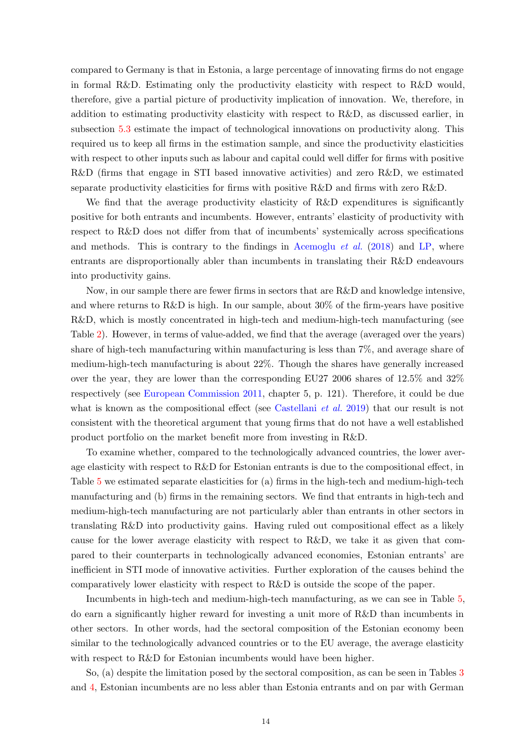compared to Germany is that in Estonia, a large percentage of innovating firms do not engage in formal R&D. Estimating only the productivity elasticity with respect to R&D would, therefore, give a partial picture of productivity implication of innovation. We, therefore, in addition to estimating productivity elasticity with respect to R&D, as discussed earlier, in subsection [5.3](#page-17-0) estimate the impact of technological innovations on productivity along. This required us to keep all firms in the estimation sample, and since the productivity elasticities with respect to other inputs such as labour and capital could well differ for firms with positive R&D (firms that engage in STI based innovative activities) and zero R&D, we estimated separate productivity elasticities for firms with positive R&D and firms with zero R&D.

We find that the average productivity elasticity of R&D expenditures is significantly positive for both entrants and incumbents. However, entrants' elasticity of productivity with respect to R&D does not differ from that of incumbents' systemically across specifications and methods. This is contrary to the findings in [Acemoglu](#page-22-1) *et al.* [\(2018\)](#page-22-1) and [LP,](#page-24-1) where entrants are disproportionally abler than incumbents in translating their R&D endeavours into productivity gains.

Now, in our sample there are fewer firms in sectors that are R&D and knowledge intensive, and where returns to  $R\&D$  is high. In our sample, about 30% of the firm-years have positive R&D, which is mostly concentrated in high-tech and medium-high-tech manufacturing (see Table [2\)](#page-30-1). However, in terms of value-added, we find that the average (averaged over the years) share of high-tech manufacturing within manufacturing is less than 7%, and average share of medium-high-tech manufacturing is about 22%. Though the shares have generally increased over the year, they are lower than the corresponding EU27 2006 shares of 12.5% and 32% respectively (see [European Commission 2011](#page-23-14), chapter 5, p. 121). Therefore, it could be due what is known as the compositional effect (see [Castellani](#page-23-15) *et al.* [2019\)](#page-23-15) that our result is not consistent with the theoretical argument that young firms that do not have a well established product portfolio on the market benefit more from investing in R&D.

To examine whether, compared to the technologically advanced countries, the lower average elasticity with respect to R&D for Estonian entrants is due to the compositional effect, in Table [5](#page-33-0) we estimated separate elasticities for (a) firms in the high-tech and medium-high-tech manufacturing and (b) firms in the remaining sectors. We find that entrants in high-tech and medium-high-tech manufacturing are not particularly abler than entrants in other sectors in translating R&D into productivity gains. Having ruled out compositional effect as a likely cause for the lower average elasticity with respect to R&D, we take it as given that compared to their counterparts in technologically advanced economies, Estonian entrants' are inefficient in STI mode of innovative activities. Further exploration of the causes behind the comparatively lower elasticity with respect to R&D is outside the scope of the paper.

Incumbents in high-tech and medium-high-tech manufacturing, as we can see in Table [5,](#page-33-0) do earn a significantly higher reward for investing a unit more of R&D than incumbents in other sectors. In other words, had the sectoral composition of the Estonian economy been similar to the technologically advanced countries or to the EU average, the average elasticity with respect to R&D for Estonian incumbents would have been higher.

So, (a) despite the limitation posed by the sectoral composition, as can be seen in Tables [3](#page-31-0) and [4,](#page-32-0) Estonian incumbents are no less abler than Estonia entrants and on par with German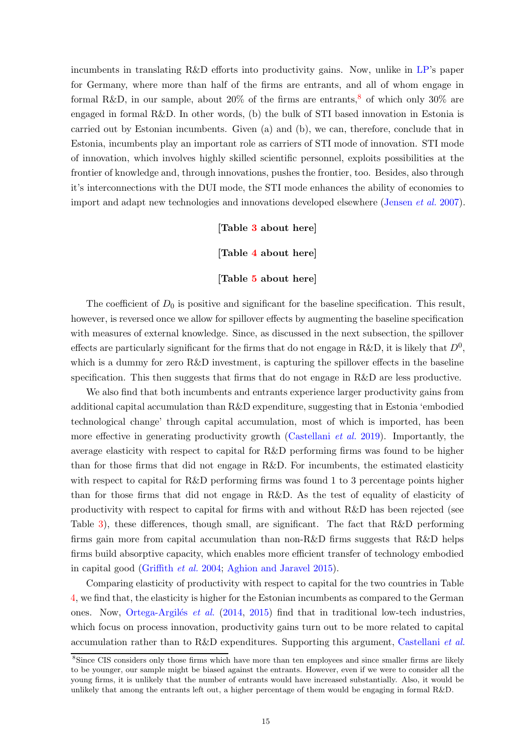incumbents in translating R&D efforts into productivity gains. Now, unlike in [LP](#page-24-1)'s paper for Germany, where more than half of the firms are entrants, and all of whom engage in formal R&D, in our sample, about 20% of the firms are entrants,<sup>8</sup> of which only 30% are engaged in formal R&D. In other words, (b) the bulk of STI based innovation in Estonia is carried out by Estonian incumbents. Given (a) and (b), we can, therefore, conclude that in Estonia, incumbents play an important role as carriers of STI mode of innovation. STI mode of innovation, which involves highly skilled scientific personnel, exploits possibilities at the frontier of knowledge and, through innovations, pushes the frontier, too. Besides, also through it's interconnections with the DUI mode, the STI mode enhances the ability of economies to import and adapt new technologies and innovations developed elsewhere [\(Jensen](#page-24-2) et al. [2007](#page-24-2)).

[Table [3](#page-31-0) about here]

[Table [4](#page-32-0) about here]

[Table [5](#page-33-0) about here]

The coefficient of  $D_0$  is positive and significant for the baseline specification. This result, however, is reversed once we allow for spillover effects by augmenting the baseline specification with measures of external knowledge. Since, as discussed in the next subsection, the spillover effects are particularly significant for the firms that do not engage in R&D, it is likely that  $D^0$ , which is a dummy for zero R&D investment, is capturing the spillover effects in the baseline specification. This then suggests that firms that do not engage in R&D are less productive.

We also find that both incumbents and entrants experience larger productivity gains from additional capital accumulation than R&D expenditure, suggesting that in Estonia 'embodied technological change' through capital accumulation, most of which is imported, has been more effective in generating productivity growth [\(Castellani](#page-23-15) *et al.* [2019\)](#page-23-15). Importantly, the average elasticity with respect to capital for R&D performing firms was found to be higher than for those firms that did not engage in R&D. For incumbents, the estimated elasticity with respect to capital for R&D performing firms was found 1 to 3 percentage points higher than for those firms that did not engage in R&D. As the test of equality of elasticity of productivity with respect to capital for firms with and without R&D has been rejected (see Table [3\)](#page-31-0), these differences, though small, are significant. The fact that R&D performing firms gain more from capital accumulation than non- $R\&D$  firms suggests that  $R\&D$  helps firms build absorptive capacity, which enables more efficient transfer of technology embodied in capital good [\(Griffith](#page-24-4) et al. [2004](#page-24-4); [Aghion and Jaravel 2015](#page-22-2)).

Comparing elasticity of productivity with respect to capital for the two countries in Table [4,](#page-32-0) we find that, the elasticity is higher for the Estonian incumbents as compared to the German ones. Now, Ortega-Argilés et al.  $(2014, 2015)$  $(2014, 2015)$  $(2014, 2015)$  find that in traditional low-tech industries, which focus on process innovation, productivity gains turn out to be more related to capital accumulation rather than to R&D expenditures. Supporting this argument, [Castellani](#page-23-15) et al.

<sup>&</sup>lt;sup>8</sup>Since CIS considers only those firms which have more than ten employees and since smaller firms are likely to be younger, our sample might be biased against the entrants. However, even if we were to consider all the young firms, it is unlikely that the number of entrants would have increased substantially. Also, it would be unlikely that among the entrants left out, a higher percentage of them would be engaging in formal R&D.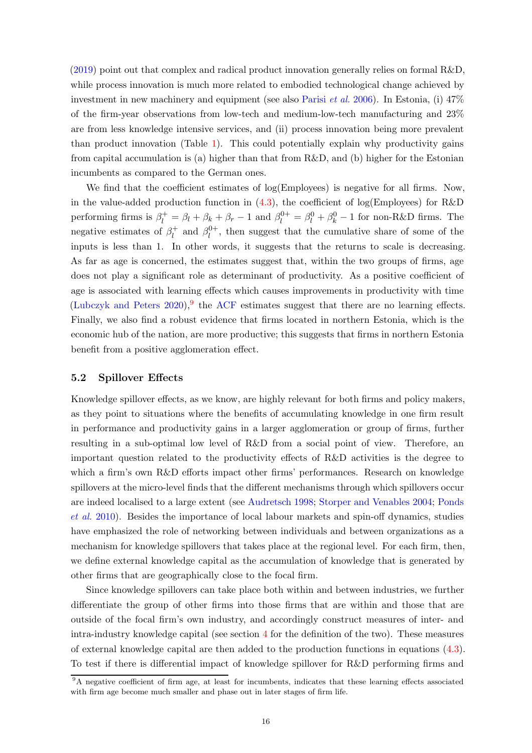[\(2019\)](#page-23-15) point out that complex and radical product innovation generally relies on formal R&D, while process innovation is much more related to embodied technological change achieved by investment in new machinery and equipment (see also [Parisi](#page-25-3) *et al.* [2006\)](#page-25-3). In Estonia, (i)  $47\%$ of the firm-year observations from low-tech and medium-low-tech manufacturing and 23% are from less knowledge intensive services, and (ii) process innovation being more prevalent than product innovation (Table [1\)](#page-30-0). This could potentially explain why productivity gains from capital accumulation is (a) higher than that from R&D, and (b) higher for the Estonian incumbents as compared to the German ones.

We find that the coefficient estimates of  $log(Employes)$  is negative for all firms. Now, in the value-added production function in  $(4.3)$ , the coefficient of log(Employees) for R&D performing firms is  $\beta_l^+ = \beta_l + \beta_k + \beta_r - 1$  and  $\beta_l^{0+} = \beta_l^0 + \beta_k^0 - 1$  for non-R&D firms. The negative estimates of  $\beta_l^+$  $\ell_l^+$  and  $\beta_l^{0+}$  $\mathcal{U}^+$ , then suggest that the cumulative share of some of the inputs is less than 1. In other words, it suggests that the returns to scale is decreasing. As far as age is concerned, the estimates suggest that, within the two groups of firms, age does not play a significant role as determinant of productivity. As a positive coefficient of age is associated with learning effects which causes improvements in productivity with time (Lubczyk and Peters  $2020$ ),<sup>9</sup> the [ACF](#page-22-6) estimates suggest that there are no learning effects. Finally, we also find a robust evidence that firms located in northern Estonia, which is the economic hub of the nation, are more productive; this suggests that firms in northern Estonia benefit from a positive agglomeration effect.

#### <span id="page-16-0"></span>5.2 Spillover Effects

Knowledge spillover effects, as we know, are highly relevant for both firms and policy makers, as they point to situations where the benefits of accumulating knowledge in one firm result in performance and productivity gains in a larger agglomeration or group of firms, further resulting in a sub-optimal low level of R&D from a social point of view. Therefore, an important question related to the productivity effects of R&D activities is the degree to which a firm's own R&D efforts impact other firms' performances. Research on knowledge spillovers at the micro-level finds that the different mechanisms through which spillovers occur are i[ndeed localised to a large extent \(see](#page-25-14) [Audretsch 1998;](#page-23-16) [Storper and Venables 2004](#page-26-1); Ponds et al. [2010\)](#page-25-14). Besides the importance of local labour markets and spin-off dynamics, studies have emphasized the role of networking between individuals and between organizations as a mechanism for knowledge spillovers that takes place at the regional level. For each firm, then, we define external knowledge capital as the accumulation of knowledge that is generated by other firms that are geographically close to the focal firm.

Since knowledge spillovers can take place both within and between industries, we further differentiate the group of other firms into those firms that are within and those that are outside of the focal firm's own industry, and accordingly construct measures of inter- and intra-industry knowledge capital (see section [4](#page-9-0) for the definition of the two). These measures of external knowledge capital are then added to the production functions in equations [\(4.3\)](#page-10-0). To test if there is differential impact of knowledge spillover for R&D performing firms and

<sup>&</sup>lt;sup>9</sup>A negative coefficient of firm age, at least for incumbents, indicates that these learning effects associated with firm age become much smaller and phase out in later stages of firm life.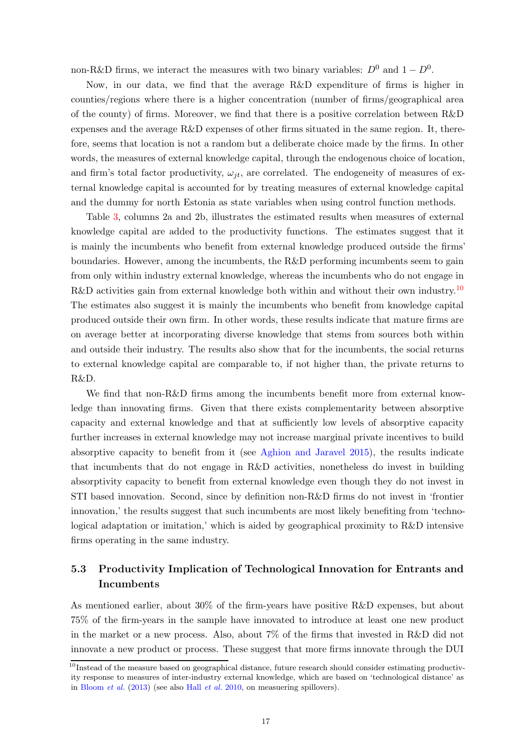non-R&D firms, we interact the measures with two binary variables:  $D^0$  and  $1 - D^0$ .

Now, in our data, we find that the average R&D expenditure of firms is higher in counties/regions where there is a higher concentration (number of firms/geographical area of the county) of firms. Moreover, we find that there is a positive correlation between R&D expenses and the average R&D expenses of other firms situated in the same region. It, therefore, seems that location is not a random but a deliberate choice made by the firms. In other words, the measures of external knowledge capital, through the endogenous choice of location, and firm's total factor productivity,  $\omega_{it}$ , are correlated. The endogeneity of measures of external knowledge capital is accounted for by treating measures of external knowledge capital and the dummy for north Estonia as state variables when using control function methods.

Table [3,](#page-31-0) columns 2a and 2b, illustrates the estimated results when measures of external knowledge capital are added to the productivity functions. The estimates suggest that it is mainly the incumbents who benefit from external knowledge produced outside the firms' boundaries. However, among the incumbents, the R&D performing incumbents seem to gain from only within industry external knowledge, whereas the incumbents who do not engage in R&D activities gain from external knowledge both within and without their own industry.<sup>10</sup> The estimates also suggest it is mainly the incumbents who benefit from knowledge capital produced outside their own firm. In other words, these results indicate that mature firms are on average better at incorporating diverse knowledge that stems from sources both within and outside their industry. The results also show that for the incumbents, the social returns to external knowledge capital are comparable to, if not higher than, the private returns to R&D.

We find that non-R&D firms among the incumbents benefit more from external knowledge than innovating firms. Given that there exists complementarity between absorptive capacity and external knowledge and that at sufficiently low levels of absorptive capacity further increases in external knowledge may not increase marginal private incentives to build absorptive capacity to benefit from it (see [Aghion and Jaravel 2015\)](#page-22-2), the results indicate that incumbents that do not engage in R&D activities, nonetheless do invest in building absorptivity capacity to benefit from external knowledge even though they do not invest in STI based innovation. Second, since by definition non-R&D firms do not invest in 'frontier innovation,' the results suggest that such incumbents are most likely benefiting from 'technological adaptation or imitation,' which is aided by geographical proximity to R&D intensive firms operating in the same industry.

## <span id="page-17-0"></span>5.3 Productivity Implication of Technological Innovation for Entrants and Incumbents

As mentioned earlier, about 30% of the firm-years have positive R&D expenses, but about 75% of the firm-years in the sample have innovated to introduce at least one new product in the market or a new process. Also, about 7% of the firms that invested in R&D did not innovate a new product or process. These suggest that more firms innovate through the DUI

 $10$ Instead of the measure based on geographical distance, future research should consider estimating productivity response to measures of inter-industry external knowledge, which are based on 'technological distance' as in [Bloom](#page-23-17) et al. [\(2013\)](#page-23-17) (see also Hall [et al.](#page-24-16) [2010](#page-24-16), on measuering spillovers).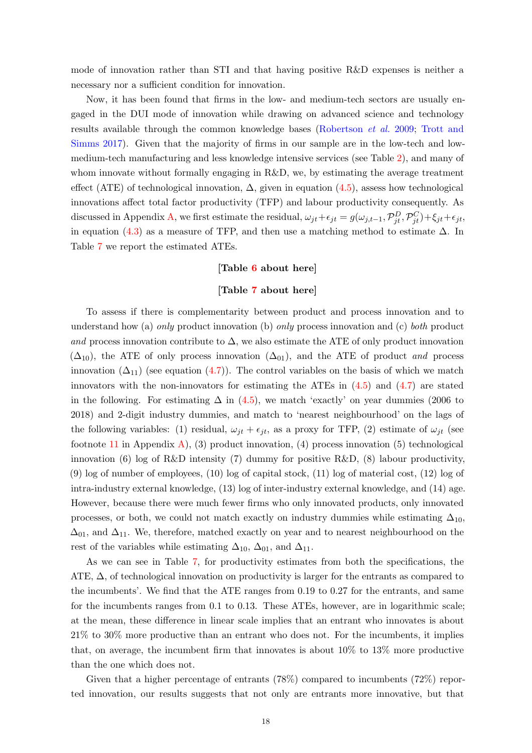mode of innovation rather than STI and that having positive R&D expenses is neither a necessary nor a sufficient condition for innovation.

Now, it has been found that firms in the low- and medium-tech sectors are usually engaged in the DUI mode of innovation while drawing on advanced science and technology results [available through the common knowledge bases](#page-26-2) [\(Robertson](#page-25-15) et al. [2009;](#page-25-15) Trott and Simms [2017\)](#page-26-2). Given that the majority of firms in our sample are in the low-tech and lowmedium-tech manufacturing and less knowledge intensive services (see Table [2\)](#page-30-1), and many of whom innovate without formally engaging in R&D, we, by estimating the average treatment effect (ATE) of technological innovation,  $\Delta$ , given in equation [\(4.5\)](#page-12-1), assess how technological innovations affect total factor productivity (TFP) and labour productivity consequently. As discussed in Appendix [A,](#page-27-0) we first estimate the residual,  $\omega_{jt} + \epsilon_{jt} = g(\omega_{j,t-1}, \mathcal{P}_{jt}^D, \mathcal{P}_{jt}^C) + \xi_{jt} + \epsilon_{jt}$ , in equation [\(4.3\)](#page-10-0) as a measure of TFP, and then use a matching method to estimate  $\Delta$ . In Table [7](#page-34-0) we report the estimated ATEs.

#### [Table [6](#page-33-1) about here]

#### [Table [7](#page-34-0) about here]

To assess if there is complementarity between product and process innovation and to understand how (a) only product innovation (b) only process innovation and (c) both product and process innovation contribute to  $\Delta$ , we also estimate the ATE of only product innovation  $(\Delta_{10})$ , the ATE of only process innovation  $(\Delta_{01})$ , and the ATE of product and process innovation  $(\Delta_{11})$  (see equation  $(4.7)$ ). The control variables on the basis of which we match innovators with the non-innovators for estimating the ATEs in  $(4.5)$  and  $(4.7)$  are stated in the following. For estimating  $\Delta$  in [\(4.5\)](#page-12-1), we match 'exactly' on year dummies (2006 to 2018) and 2-digit industry dummies, and match to 'nearest neighbourhood' on the lags of the following variables: (1) residual,  $\omega_{jt} + \epsilon_{jt}$ , as a proxy for TFP, (2) estimate of  $\omega_{jt}$  (see footnote [11](#page-28-0) in Appendix [A\)](#page-27-0), (3) product innovation, (4) process innovation (5) technological innovation (6) log of R&D intensity (7) dummy for positive R&D, (8) labour productivity, (9) log of number of employees, (10) log of capital stock, (11) log of material cost, (12) log of intra-industry external knowledge, (13) log of inter-industry external knowledge, and (14) age. However, because there were much fewer firms who only innovated products, only innovated processes, or both, we could not match exactly on industry dummies while estimating  $\Delta_{10}$ ,  $\Delta_{01}$ , and  $\Delta_{11}$ . We, therefore, matched exactly on year and to nearest neighbourhood on the rest of the variables while estimating  $\Delta_{10}$ ,  $\Delta_{01}$ , and  $\Delta_{11}$ .

As we can see in Table [7,](#page-34-0) for productivity estimates from both the specifications, the ATE,  $\Delta$ , of technological innovation on productivity is larger for the entrants as compared to the incumbents'. We find that the ATE ranges from 0.19 to 0.27 for the entrants, and same for the incumbents ranges from 0.1 to 0.13. These ATEs, however, are in logarithmic scale; at the mean, these difference in linear scale implies that an entrant who innovates is about 21% to 30% more productive than an entrant who does not. For the incumbents, it implies that, on average, the incumbent firm that innovates is about 10% to 13% more productive than the one which does not.

Given that a higher percentage of entrants (78%) compared to incumbents (72%) reported innovation, our results suggests that not only are entrants more innovative, but that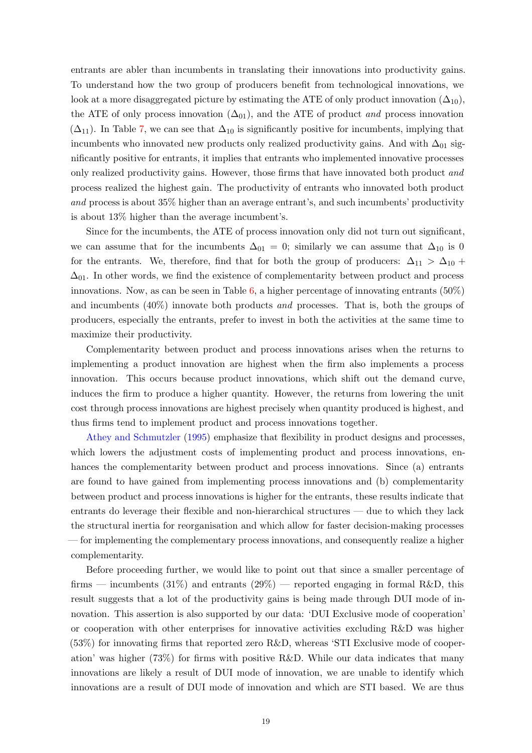entrants are abler than incumbents in translating their innovations into productivity gains. To understand how the two group of producers benefit from technological innovations, we look at a more disaggregated picture by estimating the ATE of only product innovation  $(\Delta_{10})$ , the ATE of only process innovation  $(\Delta_{01})$ , and the ATE of product *and* process innovation  $(\Delta_{11})$ . In Table [7,](#page-34-0) we can see that  $\Delta_{10}$  is significantly positive for incumbents, implying that incumbents who innovated new products only realized productivity gains. And with  $\Delta_{01}$  significantly positive for entrants, it implies that entrants who implemented innovative processes only realized productivity gains. However, those firms that have innovated both product and process realized the highest gain. The productivity of entrants who innovated both product and process is about 35% higher than an average entrant's, and such incumbents' productivity is about 13% higher than the average incumbent's.

Since for the incumbents, the ATE of process innovation only did not turn out significant, we can assume that for the incumbents  $\Delta_{01} = 0$ ; similarly we can assume that  $\Delta_{10}$  is 0 for the entrants. We, therefore, find that for both the group of producers:  $\Delta_{11} > \Delta_{10}$  +  $\Delta_{01}$ . In other words, we find the existence of complementarity between product and process innovations. Now, as can be seen in Table [6,](#page-33-1) a higher percentage of innovating entrants  $(50\%)$ and incumbents  $(40\%)$  innovate both products and processes. That is, both the groups of producers, especially the entrants, prefer to invest in both the activities at the same time to maximize their productivity.

Complementarity between product and process innovations arises when the returns to implementing a product innovation are highest when the firm also implements a process innovation. This occurs because product innovations, which shift out the demand curve, induces the firm to produce a higher quantity. However, the returns from lowering the unit cost through process innovations are highest precisely when quantity produced is highest, and [thus firms tend to implem](#page-22-7)ent product and process innovations together.

Athey and Schmutzler [\(1995](#page-22-7)) emphasize that flexibility in product designs and processes, which lowers the adjustment costs of implementing product and process innovations, enhances the complementarity between product and process innovations. Since (a) entrants are found to have gained from implementing process innovations and (b) complementarity between product and process innovations is higher for the entrants, these results indicate that entrants do leverage their flexible and non-hierarchical structures — due to which they lack the structural inertia for reorganisation and which allow for faster decision-making processes — for implementing the complementary process innovations, and consequently realize a higher complementarity.

Before proceeding further, we would like to point out that since a smaller percentage of firms — incumbents  $(31\%)$  and entrants  $(29\%)$  — reported engaging in formal R&D, this result suggests that a lot of the productivity gains is being made through DUI mode of innovation. This assertion is also supported by our data: 'DUI Exclusive mode of cooperation' or cooperation with other enterprises for innovative activities excluding R&D was higher (53%) for innovating firms that reported zero R&D, whereas 'STI Exclusive mode of cooperation' was higher (73%) for firms with positive R&D. While our data indicates that many innovations are likely a result of DUI mode of innovation, we are unable to identify which innovations are a result of DUI mode of innovation and which are STI based. We are thus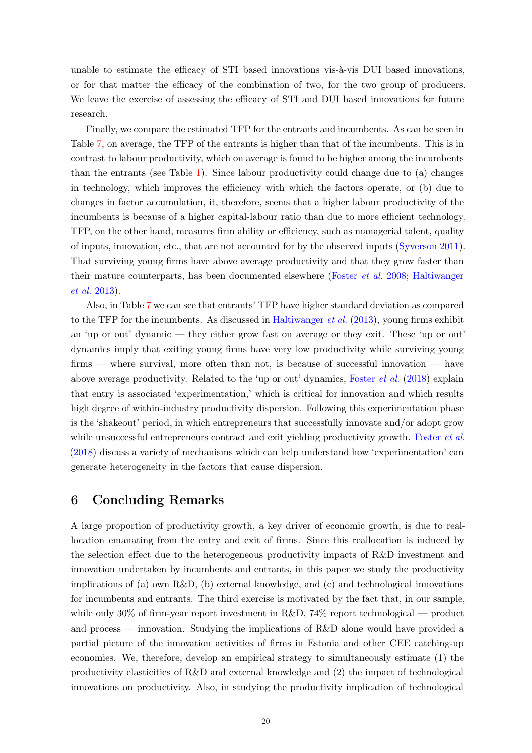unable to estimate the efficacy of  $STI$  based innovations vis- $\lambda$ -vis DUI based innovations, or for that matter the efficacy of the combination of two, for the two group of producers. We leave the exercise of assessing the efficacy of STI and DUI based innovations for future research.

Finally, we compare the estimated TFP for the entrants and incumbents. As can be seen in Table [7,](#page-34-0) on average, the TFP of the entrants is higher than that of the incumbents. This is in contrast to labour productivity, which on average is found to be higher among the incumbents than the entrants (see Table [1\)](#page-30-0). Since labour productivity could change due to (a) changes in technology, which improves the efficiency with which the factors operate, or (b) due to changes in factor accumulation, it, therefore, seems that a higher labour productivity of the incumbents is because of a higher capital-labour ratio than due to more efficient technology. TFP, on the other hand, measures firm ability or efficiency, such as managerial talent, quality of inputs, innovation, etc., that are not accounted for by the observed inputs [\(Syverson 2011](#page-26-3)). That surviving young firms have above average productivity and that they grow faster than their [mature counterparts, has been documented elsewhere](#page-24-9) [\(Foster](#page-24-17) et al. [2008](#page-24-17); Haltiwanger et al. [2013\)](#page-24-9).

Also, in Table [7](#page-34-0) we can see that entrants' TFP have higher standard deviation as compared to the TFP for the incumbents. As discussed in [Haltiwanger](#page-24-9) *et al.* [\(2013\)](#page-24-9), young firms exhibit an 'up or out' dynamic — they either grow fast on average or they exit. These 'up or out' dynamics imply that exiting young firms have very low productivity while surviving young firms — where survival, more often than not, is because of successful innovation — have above average productivity. Related to the 'up or out' dynamics, [Foster](#page-24-18) et al. [\(2018\)](#page-24-18) explain that entry is associated 'experimentation,' which is critical for innovation and which results high degree of within-industry productivity dispersion. Following this experimentation phase is the 'shakeout' period, in which entrepreneurs that successfully innovate and/or adopt grow while unsuccessful entrepreneurs contract and exit yielding productivity growth. [Foster](#page-24-18) *et al.* [\(2018\)](#page-24-18) discuss a variety of mechanisms which can help understand how 'experimentation' can generate heterogeneity in the factors that cause dispersion.

## 6 Concluding Remarks

A large proportion of productivity growth, a key driver of economic growth, is due to reallocation emanating from the entry and exit of firms. Since this reallocation is induced by the selection effect due to the heterogeneous productivity impacts of R&D investment and innovation undertaken by incumbents and entrants, in this paper we study the productivity implications of (a) own  $R\&D$ , (b) external knowledge, and (c) and technological innovations for incumbents and entrants. The third exercise is motivated by the fact that, in our sample, while only 30% of firm-year report investment in R&D, 74% report technological — product and process — innovation. Studying the implications of R&D alone would have provided a partial picture of the innovation activities of firms in Estonia and other CEE catching-up economies. We, therefore, develop an empirical strategy to simultaneously estimate (1) the productivity elasticities of R&D and external knowledge and (2) the impact of technological innovations on productivity. Also, in studying the productivity implication of technological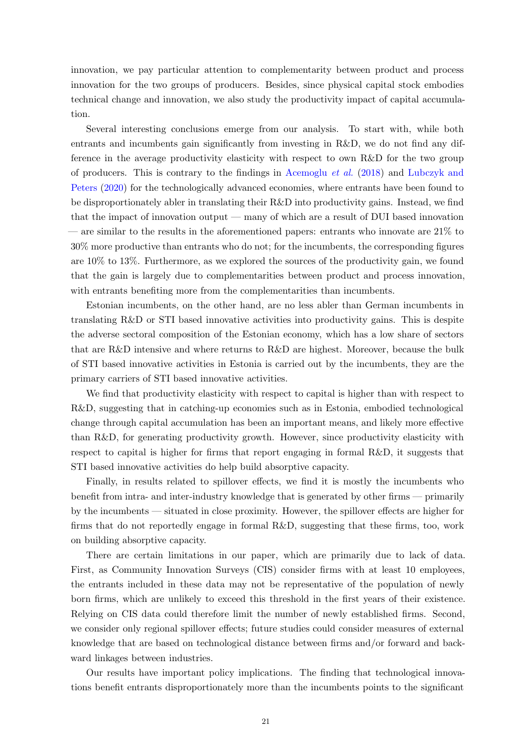innovation, we pay particular attention to complementarity between product and process innovation for the two groups of producers. Besides, since physical capital stock embodies technical change and innovation, we also study the productivity impact of capital accumulation.

Several interesting conclusions emerge from our analysis. To start with, while both entrants and incumbents gain significantly from investing in R&D, we do not find any difference in the average productivity elasticity with respect to own R&D for the two group of pro[ducers. This is contrary to the findings in](#page-24-1) [Acemoglu](#page-22-1) *et al.* [\(2018\)](#page-22-1) and Lubczyk and Peters [\(2020](#page-24-1)) for the technologically advanced economies, where entrants have been found to be disproportionately abler in translating their R&D into productivity gains. Instead, we find that the impact of innovation output — many of which are a result of DUI based innovation — are similar to the results in the aforementioned papers: entrants who innovate are 21% to 30% more productive than entrants who do not; for the incumbents, the corresponding figures are 10% to 13%. Furthermore, as we explored the sources of the productivity gain, we found that the gain is largely due to complementarities between product and process innovation, with entrants benefiting more from the complementarities than incumbents.

Estonian incumbents, on the other hand, are no less abler than German incumbents in translating R&D or STI based innovative activities into productivity gains. This is despite the adverse sectoral composition of the Estonian economy, which has a low share of sectors that are R&D intensive and where returns to R&D are highest. Moreover, because the bulk of STI based innovative activities in Estonia is carried out by the incumbents, they are the primary carriers of STI based innovative activities.

We find that productivity elasticity with respect to capital is higher than with respect to R&D, suggesting that in catching-up economies such as in Estonia, embodied technological change through capital accumulation has been an important means, and likely more effective than R&D, for generating productivity growth. However, since productivity elasticity with respect to capital is higher for firms that report engaging in formal R&D, it suggests that STI based innovative activities do help build absorptive capacity.

Finally, in results related to spillover effects, we find it is mostly the incumbents who benefit from intra- and inter-industry knowledge that is generated by other firms — primarily by the incumbents — situated in close proximity. However, the spillover effects are higher for firms that do not reportedly engage in formal R&D, suggesting that these firms, too, work on building absorptive capacity.

There are certain limitations in our paper, which are primarily due to lack of data. First, as Community Innovation Surveys (CIS) consider firms with at least 10 employees, the entrants included in these data may not be representative of the population of newly born firms, which are unlikely to exceed this threshold in the first years of their existence. Relying on CIS data could therefore limit the number of newly established firms. Second, we consider only regional spillover effects; future studies could consider measures of external knowledge that are based on technological distance between firms and/or forward and backward linkages between industries.

Our results have important policy implications. The finding that technological innovations benefit entrants disproportionately more than the incumbents points to the significant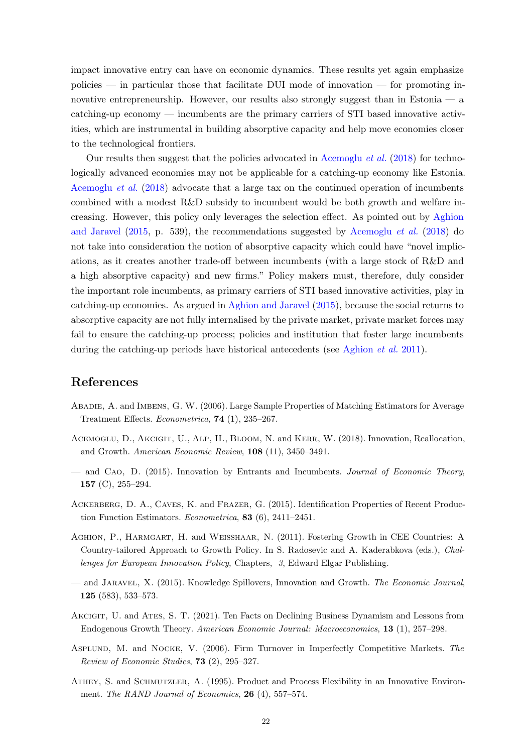<span id="page-22-9"></span>impact innovative entry can have on economic dynamics. These results yet again emphasize policies — in particular those that facilitate DUI mode of innovation — for promoting innovative entrepreneurship. However, our results also strongly suggest than in Estonia — a catching-up economy — incumbents are the primary carriers of STI based innovative activities, which are instrumental in building absorptive capacity and help move economies closer to the technological frontiers.

Our results then suggest that the policies advocated in [Acemoglu](#page-22-1) et al. [\(2018\)](#page-22-1) for technologically advanced economies may not be applicable for a catching-up economy like Estonia. [Acemoglu](#page-22-1) et al. [\(2018](#page-22-1)) advocate that a large tax on the continued operation of incumbents combined with a modest R&D subsidy to incumbent would be both growth and welfare increasing. H[owever, this policy only leverages the selection effect. As pointed out by](#page-22-2) Aghion and Jaravel  $(2015, p. 539)$  $(2015, p. 539)$ , the recommendations suggested by [Acemoglu](#page-22-1) *et al.*  $(2018)$  $(2018)$  do not take into consideration the notion of absorptive capacity which could have "novel implications, as it creates another trade-off between incumbents (with a large stock of R&D and a high absorptive capacity) and new firms." Policy makers must, therefore, duly consider the important role incumbents, as primary carriers of STI based innovative activities, play in catching-up economies. As argued in [Aghion and Jaravel](#page-22-2) [\(2015](#page-22-2)), because the social returns to absorptive capacity are not fully internalised by the private market, private market forces may fail to ensure the catching-up process; policies and institution that foster large incumbents during the catching-up periods have historical antecedents (see [Aghion](#page-22-3) *et al.* [2011\)](#page-22-3).

#### References

- <span id="page-22-8"></span>Abadie, A. and Imbens, G. W. (2006). Large Sample Properties of Matching Estimators for Average Treatment Effects. Econometrica, 74 (1), 235–267.
- <span id="page-22-1"></span>Acemoglu, D., Akcigit, U., Alp, H., Bloom, N. and Kerr, W. (2018). Innovation, Reallocation, and Growth. American Economic Review, 108 (11), 3450–3491.
- <span id="page-22-5"></span>— and Cao, D. (2015). Innovation by Entrants and Incumbents. Journal of Economic Theory, 157 (C), 255–294.
- <span id="page-22-6"></span>Ackerberg, D. A., Caves, K. and Frazer, G. (2015). Identification Properties of Recent Production Function Estimators. Econometrica, 83 (6), 2411–2451.
- <span id="page-22-3"></span>Aghion, P., Harmgart, H. and Weisshaar, N. (2011). Fostering Growth in CEE Countries: A Country-tailored Approach to Growth Policy. In S. Radosevic and A. Kaderabkova (eds.), Challenges for European Innovation Policy, Chapters, 3, Edward Elgar Publishing.
- <span id="page-22-2"></span>— and Jaravel, X. (2015). Knowledge Spillovers, Innovation and Growth. The Economic Journal, 125 (583), 533–573.
- <span id="page-22-0"></span>AKCIGIT, U. and ATES, S. T. (2021). Ten Facts on Declining Business Dynamism and Lessons from Endogenous Growth Theory. American Economic Journal: Macroeconomics, 13 (1), 257–298.
- <span id="page-22-4"></span>Asplund, M. and Nocke, V. (2006). Firm Turnover in Imperfectly Competitive Markets. The Review of Economic Studies, 73 (2), 295–327.
- <span id="page-22-7"></span>ATHEY, S. and SCHMUTZLER, A. (1995). Product and Process Flexibility in an Innovative Environment. The RAND Journal of Economics, 26 (4), 557-574.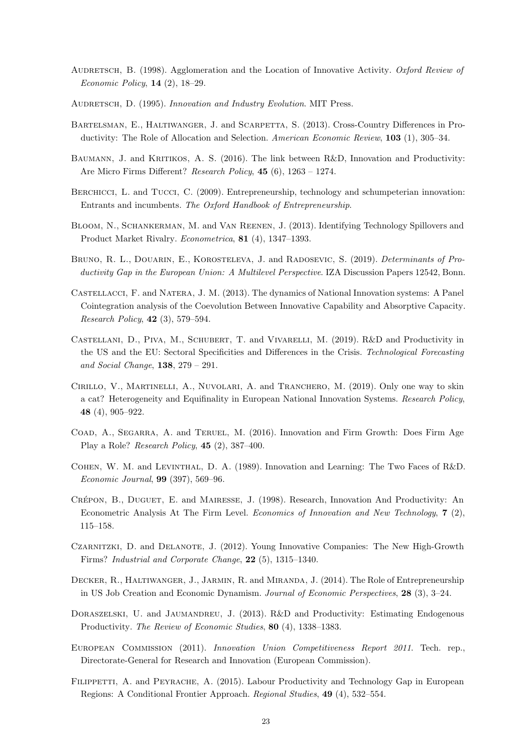- <span id="page-23-16"></span>AUDRETSCH, B. (1998). Agglomeration and the Location of Innovative Activity. Oxford Review of Economic Policy, 14 (2), 18–29.
- <span id="page-23-7"></span>AUDRETSCH, D. (1995). Innovation and Industry Evolution. MIT Press.
- <span id="page-23-8"></span>Bartelsman, E., Haltiwanger, J. and Scarpetta, S. (2013). Cross-Country Differences in Productivity: The Role of Allocation and Selection. American Economic Review, 103 (1), 305–34.
- <span id="page-23-12"></span>BAUMANN, J. and KRITIKOS, A. S. (2016). The link between R&D, Innovation and Productivity: Are Micro Firms Different? Research Policy, 45 (6), 1263 – 1274.
- <span id="page-23-6"></span>BERCHICCI, L. and TUCCI, C. (2009). Entrepreneurship, technology and schumpeterian innovation: Entrants and incumbents. The Oxford Handbook of Entrepreneurship.
- <span id="page-23-17"></span>Bloom, N., Schankerman, M. and Van Reenen, J. (2013). Identifying Technology Spillovers and Product Market Rivalry. Econometrica, 81 (4), 1347–1393.
- <span id="page-23-9"></span>BRUNO, R. L., DOUARIN, E., KOROSTELEVA, J. and RADOSEVIC, S. (2019). *Determinants of Pro*ductivity Gap in the European Union: A Multilevel Perspective. IZA Discussion Papers 12542, Bonn.
- <span id="page-23-2"></span>Castellacci, F. and Natera, J. M. (2013). The dynamics of National Innovation systems: A Panel Cointegration analysis of the Coevolution Between Innovative Capability and Absorptive Capacity. Research Policy, 42 (3), 579–594.
- <span id="page-23-15"></span>Castellani, D., Piva, M., Schubert, T. and Vivarelli, M. (2019). R&D and Productivity in the US and the EU: Sectoral Specificities and Differences in the Crisis. Technological Forecasting and Social Change, 138, 279 – 291.
- <span id="page-23-3"></span>Cirillo, V., Martinelli, A., Nuvolari, A. and Tranchero, M. (2019). Only one way to skin a cat? Heterogeneity and Equifinality in European National Innovation Systems. Research Policy, 48 (4), 905–922.
- <span id="page-23-1"></span>Coad, A., Segarra, A. and Teruel, M. (2016). Innovation and Firm Growth: Does Firm Age Play a Role? Research Policy, 45 (2), 387–400.
- <span id="page-23-4"></span>Cohen, W. M. and Levinthal, D. A. (1989). Innovation and Learning: The Two Faces of R&D. Economic Journal, 99 (397), 569–96.
- <span id="page-23-11"></span>CRÉPON, B., DUGUET, E. and MAIRESSE, J. (1998). Research, Innovation And Productivity: An Econometric Analysis At The Firm Level. Economics of Innovation and New Technology, 7 (2), 115–158.
- <span id="page-23-0"></span>Czarnitzki, D. and Delanote, J. (2012). Young Innovative Companies: The New High-Growth Firms? Industrial and Corporate Change, 22 (5), 1315–1340.
- <span id="page-23-5"></span>DECKER, R., HALTIWANGER, J., JARMIN, R. and MIRANDA, J. (2014). The Role of Entrepreneurship in US Job Creation and Economic Dynamism. Journal of Economic Perspectives, 28 (3), 3–24.
- <span id="page-23-13"></span>DORASZELSKI, U. and JAUMANDREU, J. (2013). R&D and Productivity: Estimating Endogenous Productivity. The Review of Economic Studies, 80 (4), 1338–1383.
- <span id="page-23-14"></span>European Commission (2011). Innovation Union Competitiveness Report 2011. Tech. rep., Directorate-General for Research and Innovation (European Commission).
- <span id="page-23-10"></span>FILIPPETTI, A. and PEYRACHE, A. (2015). Labour Productivity and Technology Gap in European Regions: A Conditional Frontier Approach. Regional Studies, 49 (4), 532–554.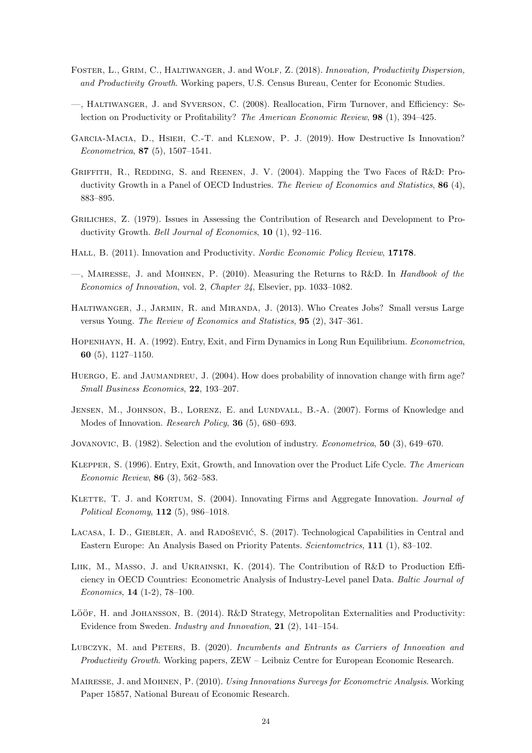- <span id="page-24-19"></span><span id="page-24-18"></span>Foster, L., Grim, C., Haltiwanger, J. and Wolf, Z. (2018). Innovation, Productivity Dispersion, and Productivity Growth. Working papers, U.S. Census Bureau, Center for Economic Studies.
- <span id="page-24-17"></span>—, Haltiwanger, J. and Syverson, C. (2008). Reallocation, Firm Turnover, and Efficiency: Selection on Productivity or Profitability? The American Economic Review, 98 (1), 394–425.
- <span id="page-24-0"></span>Garcia-Macia, D., Hsieh, C.-T. and Klenow, P. J. (2019). How Destructive Is Innovation? Econometrica, 87 (5), 1507–1541.
- <span id="page-24-4"></span>GRIFFITH, R., REDDING, S. and REENEN, J. V. (2004). Mapping the Two Faces of R&D: Productivity Growth in a Panel of OECD Industries. The Review of Economics and Statistics, 86 (4), 883–895.
- <span id="page-24-14"></span>Griliches, Z. (1979). Issues in Assessing the Contribution of Research and Development to Productivity Growth. Bell Journal of Economics, 10 (1), 92-116.
- <span id="page-24-15"></span>HALL, B. (2011). Innovation and Productivity. Nordic Economic Policy Review, 17178.
- <span id="page-24-16"></span> $-$ , MAIRESSE, J. and MOHNEN, P. (2010). Measuring the Returns to R&D. In *Handbook of the* Economics of Innovation, vol. 2, Chapter 24, Elsevier, pp. 1033–1082.
- <span id="page-24-9"></span>Haltiwanger, J., Jarmin, R. and Miranda, J. (2013). Who Creates Jobs? Small versus Large versus Young. The Review of Economics and Statistics, 95 (2), 347–361.
- <span id="page-24-6"></span>HOPENHAYN, H. A. (1992). Entry, Exit, and Firm Dynamics in Long Run Equilibrium. Econometrica, 60 (5), 1127–1150.
- <span id="page-24-7"></span>HUERGO, E. and JAUMANDREU, J. (2004). How does probability of innovation change with firm age? Small Business Economics, 22, 193–207.
- <span id="page-24-2"></span>Jensen, M., Johnson, B., Lorenz, E. and Lundvall, B.-A. (2007). Forms of Knowledge and Modes of Innovation. *Research Policy*, **36** (5), 680–693.
- <span id="page-24-5"></span>JOVANOVIC, B. (1982). Selection and the evolution of industry. *Econometrica*, **50** (3), 649–670.
- <span id="page-24-8"></span>Klepper, S. (1996). Entry, Exit, Growth, and Innovation over the Product Life Cycle. The American Economic Review, 86 (3), 562–583.
- <span id="page-24-3"></span>KLETTE, T. J. and KORTUM, S. (2004). Innovating Firms and Aggregate Innovation. Journal of Political Economy, 112 (5), 986–1018.
- <span id="page-24-12"></span>LACASA, I. D., GIEBLER, A. and RADOŠEVIĆ, S. (2017). Technological Capabilities in Central and Eastern Europe: An Analysis Based on Priority Patents. Scientometrics, 111 (1), 83–102.
- <span id="page-24-11"></span>LIIK, M., MASSO, J. and UKRAINSKI, K. (2014). The Contribution of R&D to Production Efficiency in OECD Countries: Econometric Analysis of Industry-Level panel Data. Baltic Journal of Economics, 14 (1-2), 78–100.
- <span id="page-24-10"></span>LÖÖF, H. and JOHANSSON, B. (2014). R&D Strategy, Metropolitan Externalities and Productivity: Evidence from Sweden. Industry and Innovation, 21 (2), 141–154.
- <span id="page-24-1"></span>LUBCZYK, M. and PETERS, B. (2020). Incumbents and Entrants as Carriers of Innovation and Productivity Growth. Working papers, ZEW – Leibniz Centre for European Economic Research.
- <span id="page-24-13"></span>Mairesse, J. and Mohnen, P. (2010). Using Innovations Surveys for Econometric Analysis. Working Paper 15857, National Bureau of Economic Research.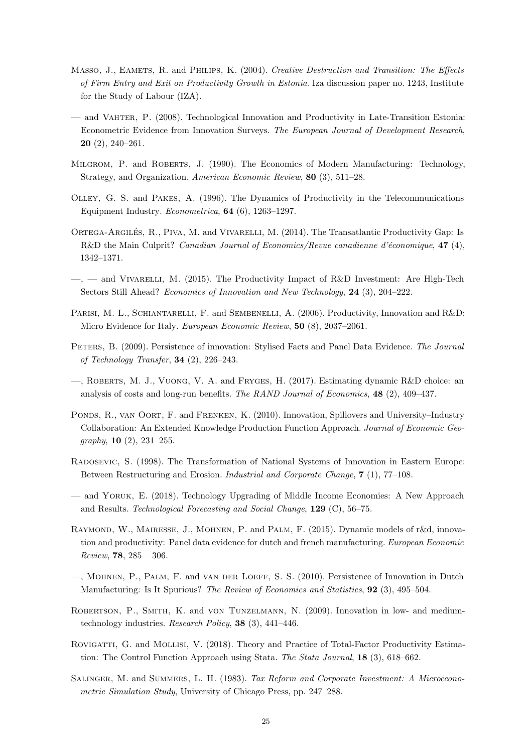- <span id="page-25-16"></span><span id="page-25-6"></span>MASSO, J., EAMETS, R. and PHILIPS, K. (2004). Creative Destruction and Transition: The Effects of Firm Entry and Exit on Productivity Growth in Estonia. Iza discussion paper no. 1243, Institute for the Study of Labour (IZA).
- <span id="page-25-7"></span>— and Vahter, P. (2008). Technological Innovation and Productivity in Late-Transition Estonia: Econometric Evidence from Innovation Surveys. The European Journal of Development Research, 20 (2), 240–261.
- <span id="page-25-11"></span>Milgrom, P. and Roberts, J. (1990). The Economics of Modern Manufacturing: Technology, Strategy, and Organization. American Economic Review, 80 (3), 511–28.
- Olley, G. S. and Pakes, A. (1996). The Dynamics of Productivity in the Telecommunications Equipment Industry. Econometrica, 64 (6), 1263–1297.
- <span id="page-25-12"></span>ORTEGA-ARGILÉS, R., PIVA, M. and VIVARELLI, M. (2014). The Transatlantic Productivity Gap: Is R&D the Main Culprit? Canadian Journal of Economics/Revue canadienne d'économique, 47 (4), 1342–1371.
- <span id="page-25-13"></span> $-$ ,  $-$  and VIVARELLI, M. (2015). The Productivity Impact of R&D Investment: Are High-Tech Sectors Still Ahead? Economics of Innovation and New Technology, 24 (3), 204-222.
- <span id="page-25-3"></span>PARISI, M. L., SCHIANTARELLI, F. and SEMBENELLI, A. (2006). Productivity, Innovation and R&D: Micro Evidence for Italy. European Economic Review, 50 (8), 2037–2061.
- <span id="page-25-4"></span>PETERS, B. (2009). Persistence of innovation: Stylised Facts and Panel Data Evidence. The Journal of Technology Transfer, 34 (2), 226–243.
- <span id="page-25-1"></span>—, Roberts, M. J., Vuong, V. A. and Fryges, H. (2017). Estimating dynamic R&D choice: an analysis of costs and long-run benefits. The RAND Journal of Economics,  $48$  (2), 409–437.
- <span id="page-25-14"></span>PONDS, R., VAN OORT, F. and FRENKEN, K. (2010). Innovation, Spillovers and University-Industry Collaboration: An Extended Knowledge Production Function Approach. Journal of Economic Geo $graphy, 10 (2), 231-255.$
- <span id="page-25-0"></span>Radosevic, S. (1998). The Transformation of National Systems of Innovation in Eastern Europe: Between Restructuring and Erosion. Industrial and Corporate Change, 7 (1), 77–108.
- <span id="page-25-2"></span>— and Yoruk, E. (2018). Technology Upgrading of Middle Income Economies: A New Approach and Results. Technological Forecasting and Social Change, 129 (C), 56–75.
- <span id="page-25-9"></span>Raymond, W., Mairesse, J., Mohnen, P. and Palm, F. (2015). Dynamic models of r&d, innovation and productivity: Panel data evidence for dutch and french manufacturing. European Economic Review,  $78, 285 - 306$ .
- <span id="page-25-5"></span>—, Mohnen, P., Palm, F. and van der Loeff, S. S. (2010). Persistence of Innovation in Dutch Manufacturing: Is It Spurious? The Review of Economics and Statistics, **92** (3), 495–504.
- <span id="page-25-15"></span>Robertson, P., Smith, K. and von Tunzelmann, N. (2009). Innovation in low- and mediumtechnology industries. Research Policy, 38 (3), 441–446.
- <span id="page-25-10"></span>ROVIGATTI, G. and MOLLISI, V. (2018). Theory and Practice of Total-Factor Productivity Estimation: The Control Function Approach using Stata. The Stata Journal, 18 (3), 618–662.
- <span id="page-25-8"></span>SALINGER, M. and SUMMERS, L. H. (1983). Tax Reform and Corporate Investment: A Microeconometric Simulation Study, University of Chicago Press, pp. 247–288.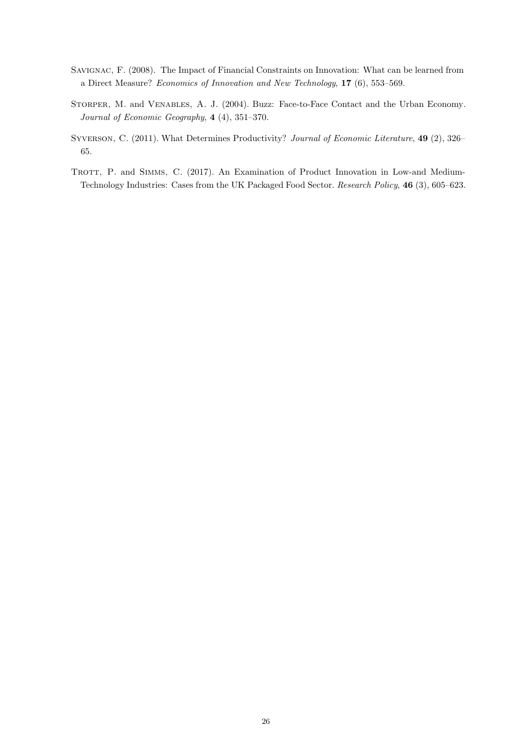- <span id="page-26-0"></span>Savignac, F. (2008). The Impact of Financial Constraints on Innovation: What can be learned from a Direct Measure? Economics of Innovation and New Technology, 17 (6), 553–569.
- <span id="page-26-1"></span>STORPER, M. and VENABLES, A. J. (2004). Buzz: Face-to-Face Contact and the Urban Economy. Journal of Economic Geography, 4 (4), 351–370.
- <span id="page-26-3"></span>SYVERSON, C. (2011). What Determines Productivity? Journal of Economic Literature, 49 (2), 326– 65.
- <span id="page-26-2"></span>TROTT, P. and SIMMS, C. (2017). An Examination of Product Innovation in Low-and Medium-Technology Industries: Cases from the UK Packaged Food Sector. Research Policy, 46 (3), 605–623.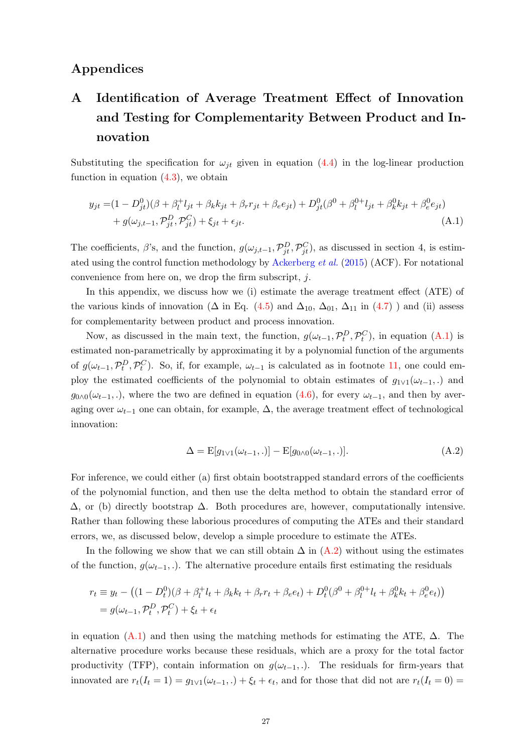## <span id="page-27-0"></span>Appendices

## A Identification of Average Treatment Effect of Innovation and Testing for Complementarity Between Product and Innovation

Substituting the specification for  $\omega_{it}$  given in equation [\(4.4\)](#page-12-0) in the log-linear production function in equation  $(4.3)$ , we obtain

$$
y_{jt} = (1 - D_{jt}^{0})(\beta + \beta_{l}^{+}l_{jt} + \beta_{k}k_{jt} + \beta_{r}r_{jt} + \beta_{e}e_{jt}) + D_{jt}^{0}(\beta^{0} + \beta_{l}^{0+}l_{jt} + \beta_{k}^{0}k_{jt} + \beta_{e}^{0}e_{jt})
$$
  
+  $g(\omega_{j,t-1}, \mathcal{P}_{jt}^{D}, \mathcal{P}_{jt}^{C}) + \xi_{jt} + \epsilon_{jt}.$  (A.1)

The coefficients,  $\beta$ 's, and the function,  $g(\omega_{j,t-1}, \mathcal{P}_{jt}^D, \mathcal{P}_{jt}^C)$ , as discussed in section 4, is estim-ated using the control function methodology by [Ackerberg](#page-22-6) *et al.* [\(2015](#page-22-6)) (ACF). For notational convenience from here on, we drop the firm subscript, j.

In this appendix, we discuss how we (i) estimate the average treatment effect (ATE) of the various kinds of innovation ( $\Delta$  in Eq. [\(4.5\)](#page-12-1) and  $\Delta_{10}$ ,  $\Delta_{01}$ ,  $\Delta_{11}$  in [\(4.7\)](#page-12-3) ) and (ii) assess for complementarity between product and process innovation.

Now, as discussed in the main text, the function,  $g(\omega_{t-1}, \mathcal{P}_t^D, \mathcal{P}_t^C)$ , in equation [\(A.1\)](#page-27-1) is estimated non-parametrically by approximating it by a polynomial function of the arguments of  $g(\omega_{t-1}, \mathcal{P}_t^D, \mathcal{P}_t^C)$ . So, if, for example,  $\omega_{t-1}$  is calculated as in footnote [11,](#page-28-0) one could employ the estimated coefficients of the polynomial to obtain estimates of  $g_{1\vee 1}(\omega_{t-1},.)$  and  $g_{0\wedge 0}(\omega_{t-1},\cdot)$ , where the two are defined in equation [\(4.6\)](#page-12-2), for every  $\omega_{t-1}$ , and then by averaging over  $\omega_{t-1}$  one can obtain, for example,  $\Delta$ , the average treatment effect of technological innovation:

<span id="page-27-2"></span><span id="page-27-1"></span>
$$
\Delta = \mathbb{E}[g_{1 \vee 1}(\omega_{t-1},.)] - \mathbb{E}[g_{0 \wedge 0}(\omega_{t-1},.)]. \tag{A.2}
$$

For inference, we could either (a) first obtain bootstrapped standard errors of the coefficients of the polynomial function, and then use the delta method to obtain the standard error of  $\Delta$ , or (b) directly bootstrap  $\Delta$ . Both procedures are, however, computationally intensive. Rather than following these laborious procedures of computing the ATEs and their standard errors, we, as discussed below, develop a simple procedure to estimate the ATEs.

In the following we show that we can still obtain  $\Delta$  in [\(A.2\)](#page-27-2) without using the estimates of the function,  $g(\omega_{t-1},.)$ . The alternative procedure entails first estimating the residuals

$$
r_t \equiv y_t - ((1 - D_t^0)(\beta + \beta_t^+ l_t + \beta_k k_t + \beta_r r_t + \beta_e e_t) + D_t^0(\beta^0 + \beta_t^{0+} l_t + \beta_k^0 k_t + \beta_e^0 e_t))
$$
  
=  $g(\omega_{t-1}, \mathcal{P}_t^D, \mathcal{P}_t^C) + \xi_t + \epsilon_t$ 

in equation [\(A.1\)](#page-27-1) and then using the matching methods for estimating the ATE,  $\Delta$ . The alternative procedure works because these residuals, which are a proxy for the total factor productivity (TFP), contain information on  $g(\omega_{t-1},.)$ . The residuals for firm-years that innovated are  $r_t(I_t = 1) = g_{1 \vee 1}(\omega_{t-1},.) + \xi_t + \epsilon_t$ , and for those that did not are  $r_t(I_t = 0) =$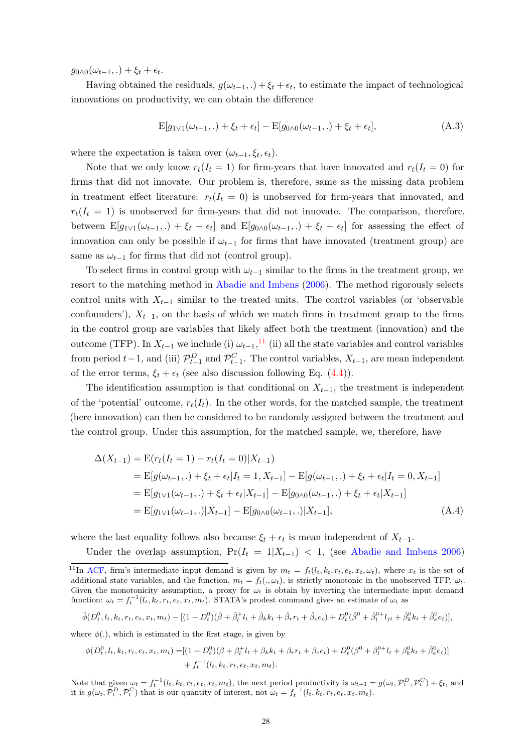$g_{0\wedge 0}(\omega_{t-1},.) + \xi_t + \epsilon_t.$ 

Having obtained the residuals,  $g(\omega_{t-1},.) + \xi_t + \epsilon_t$ , to estimate the impact of technological innovations on productivity, we can obtain the difference

<span id="page-28-0"></span>
$$
E[g_{1\vee 1}(\omega_{t-1},.)+\xi_t+\epsilon_t]-E[g_{0\wedge 0}(\omega_{t-1},.)+\xi_t+\epsilon_t],\tag{A.3}
$$

where the expectation is taken over  $(\omega_{t-1}, \xi_t, \epsilon_t)$ .

Note that we only know  $r_t(I_t = 1)$  for firm-years that have innovated and  $r_t(I_t = 0)$  for firms that did not innovate. Our problem is, therefore, same as the missing data problem in treatment effect literature:  $r_t(I_t = 0)$  is unobserved for firm-years that innovated, and  $r_t(I_t = 1)$  is unobserved for firm-years that did not innovate. The comparison, therefore, between  $E[g_{1}y_{1}(\omega_{t-1},.) + \xi_t + \epsilon_t]$  and  $E[g_{0}y_{0}(\omega_{t-1},.) + \xi_t + \epsilon_t]$  for assessing the effect of innovation can only be possible if  $\omega_{t-1}$  for firms that have innovated (treatment group) are same as  $\omega_{t-1}$  for firms that did not (control group).

To select firms in control group with  $\omega_{t-1}$  similar to the firms in the treatment group, we resort to the matching method in [Abadie and Imbens](#page-22-8) [\(2006](#page-22-8)). The method rigorously selects control units with  $X_{t-1}$  similar to the treated units. The control variables (or 'observable confounders'),  $X_{t-1}$ , on the basis of which we match firms in treatment group to the firms in the control group are variables that likely affect both the treatment (innovation) and the outcome (TFP). In  $X_{t-1}$  we include (i)  $\omega_{t-1}$ ,<sup>11</sup> (ii) all the state variables and control variables from period  $t-1$ , and (iii)  $\mathcal{P}_{t-1}^D$  and  $\mathcal{P}_{t-1}^C$ . The control variables,  $X_{t-1}$ , are mean independent of the error terms,  $\xi_t + \epsilon_t$  (see also discussion following Eq. [\(4.4\)](#page-12-0)).

The identification assumption is that conditional on  $X_{t-1}$ , the treatment is independent of the 'potential' outcome,  $r_t(I_t)$ . In the other words, for the matched sample, the treatment (here innovation) can then be considered to be randomly assigned between the treatment and the control group. Under this assumption, for the matched sample, we, therefore, have

<span id="page-28-1"></span>
$$
\Delta(X_{t-1}) = \mathcal{E}(r_t(I_t = 1) - r_t(I_t = 0)|X_{t-1})
$$
  
= 
$$
\mathcal{E}[g(\omega_{t-1},.) + \xi_t + \epsilon_t | I_t = 1, X_{t-1}] - \mathcal{E}[g(\omega_{t-1},.) + \xi_t + \epsilon_t | I_t = 0, X_{t-1}]
$$
  
= 
$$
\mathcal{E}[g_{1 \vee 1}(\omega_{t-1},.) + \xi_t + \epsilon_t | X_{t-1}] - \mathcal{E}[g_{0 \wedge 0}(\omega_{t-1},.) + \xi_t + \epsilon_t | X_{t-1}]
$$
  
= 
$$
\mathcal{E}[g_{1 \vee 1}(\omega_{t-1},.) | X_{t-1}] - \mathcal{E}[g_{0 \wedge 0}(\omega_{t-1},.) | X_{t-1}], \qquad (A.4)
$$

where the last equality follows also because  $\xi_t + \epsilon_t$  is mean independent of  $X_{t-1}$ .

Under the overlap assumption,  $Pr(I_t = 1 | X_{t-1}) < 1$ , (see [Abadie and Imbens 2006\)](#page-22-8)

$$
\hat{\phi}(D_t^0, l_t, k_t, r_t, e_t, x_t, m_t) - [(1 - D_t^0)(\hat{\beta} + \hat{\beta}_t^{\dagger}l_t + \hat{\beta}_k k_t + \hat{\beta}_r r_t + \hat{\beta}_e e_t) + D_t^0(\hat{\beta}^0 + \hat{\beta}_l^{0+}l_{jt} + \hat{\beta}_k^0 k_t + \hat{\beta}_e^0 e_t)],
$$

where  $\phi(.)$ , which is estimated in the first stage, is given by

$$
\phi(D_t^0, l_t, k_t, r_t, e_t, x_t, m_t) = [(1 - D_t^0)(\beta + \beta_t^+ l_t + \beta_k k_t + \beta_r r_t + \beta_e e_t) + D_t^0(\beta^0 + \beta_t^{0+} l_t + \beta_k^0 k_t + \hat{\beta}_e^0 e_t)]
$$
  
+  $f_t^{-1}(l_t, k_t, r_t, e_t, x_t, m_t).$ 

Note that given  $\omega_t = f_t^{-1}(l_t, k_t, r_t, e_t, x_t, m_t)$ , the next period productivity is  $\omega_{t+1} = g(\omega_t, \mathcal{P}_t^D, \mathcal{P}_t^C) + \xi_t$ , and it is  $g(\omega_t, \tilde{\mathcal{P}}_t^D, \mathcal{P}_t^C)$  that is our quantity of interest, not  $\omega_t = f_t^{-1}(l_t, k_t, r_t, e_t, x_t, m_t)$ .

<sup>&</sup>lt;sup>11</sup>In [ACF,](#page-22-6) firm's intermediate input demand is given by  $m_t = f_t(l_t, k_t, r_t, e_t, x_t, \omega_t)$ , where  $x_t$  is the set of additional state variables, and the function,  $m_t = f_t(.,\omega_t)$ , is strictly monotonic in the unobserved TFP,  $\omega_t$ . Given the monotonicity assumption, a proxy for  $\omega_t$  is obtain by inverting the intermediate input demand function:  $\omega_t = f_t^{-1}(l_t, k_t, r_t, e_t, x_t, m_t)$ . STATA's prodest command gives an estimate of  $\omega_t$  as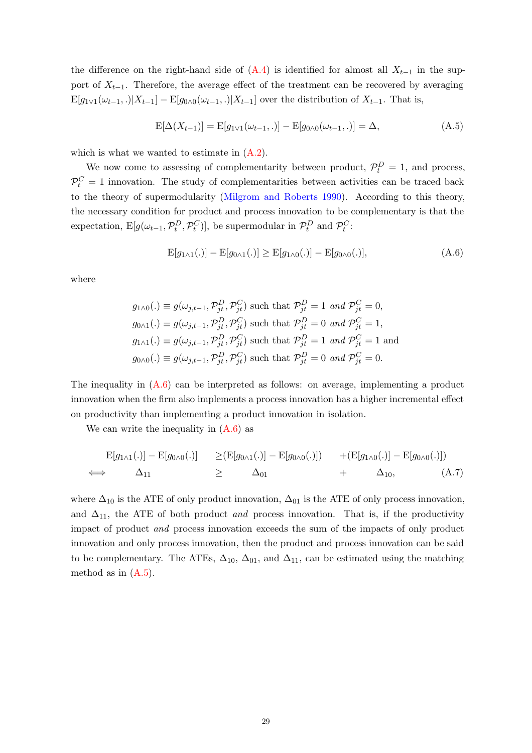the difference on the right-hand side of  $(A.4)$  is identified for almost all  $X_{t-1}$  in the support of  $X_{t-1}$ . Therefore, the average effect of the treatment can be recovered by averaging  $\mathbb{E}[g_{1 \vee 1}(\omega_{t-1},.)|X_{t-1}] - \mathbb{E}[g_{0 \wedge 0}(\omega_{t-1},.)|X_{t-1}]$  over the distribution of  $X_{t-1}$ . That is,

<span id="page-29-1"></span>
$$
E[\Delta(X_{t-1})] = E[g_{1 \vee 1}(\omega_{t-1}, .)] - E[g_{0 \wedge 0}(\omega_{t-1}, .)] = \Delta,
$$
\n(A.5)

which is what we wanted to estimate in  $(A.2)$ .

We now come to assessing of complementarity between product,  $\mathcal{P}_t^D = 1$ , and process,  $\mathcal{P}_t^C = 1$  innovation. The study of complementarities between activities can be traced back to the theory of supermodularity [\(Milgrom and Roberts 1990\)](#page-25-11). According to this theory, the necessary condition for product and process innovation to be complementary is that the expectation,  $E[g(\omega_{t-1}, \mathcal{P}_t^D, \mathcal{P}_t^C)]$ , be supermodular in  $\mathcal{P}_t^D$  and  $\mathcal{P}_t^C$ :

<span id="page-29-0"></span>
$$
E[g_{1\wedge 1}(.)] - E[g_{0\wedge 1}(.)] \ge E[g_{1\wedge 0}(.)] - E[g_{0\wedge 0}(.)],
$$
\n(A.6)

where

$$
g_{1\wedge 0}(.) \equiv g(\omega_{j,t-1}, \mathcal{P}_{jt}^D, \mathcal{P}_{jt}^C) \text{ such that } \mathcal{P}_{jt}^D = 1 \text{ and } \mathcal{P}_{jt}^C = 0,
$$
  
\n
$$
g_{0\wedge 1}(.) \equiv g(\omega_{j,t-1}, \mathcal{P}_{jt}^D, \mathcal{P}_{jt}^C) \text{ such that } \mathcal{P}_{jt}^D = 0 \text{ and } \mathcal{P}_{jt}^C = 1,
$$
  
\n
$$
g_{1\wedge 1}(.) \equiv g(\omega_{j,t-1}, \mathcal{P}_{jt}^D, \mathcal{P}_{jt}^C) \text{ such that } \mathcal{P}_{jt}^D = 1 \text{ and } \mathcal{P}_{jt}^C = 1 \text{ and }
$$
  
\n
$$
g_{0\wedge 0}(.) \equiv g(\omega_{j,t-1}, \mathcal{P}_{jt}^D, \mathcal{P}_{jt}^C) \text{ such that } \mathcal{P}_{jt}^D = 0 \text{ and } \mathcal{P}_{jt}^C = 0.
$$

The inequality in  $(A.6)$  can be interpreted as follows: on average, implementing a product innovation when the firm also implements a process innovation has a higher incremental effect on productivity than implementing a product innovation in isolation.

We can write the inequality in  $(A.6)$  as

$$
E[g_{1\wedge 1}(.)] - E[g_{0\wedge 0}(.)] \ge (E[g_{0\wedge 1}(.)] - E[g_{0\wedge 0}(.)]) + (E[g_{1\wedge 0}(.)] - E[g_{0\wedge 0}(.)])
$$
  
\n
$$
\iff \quad \Delta_{11} \ge \quad \Delta_{01} \qquad + \quad \Delta_{10}, \tag{A.7}
$$

where  $\Delta_{10}$  is the ATE of only product innovation,  $\Delta_{01}$  is the ATE of only process innovation, and  $\Delta_{11}$ , the ATE of both product and process innovation. That is, if the productivity impact of product and process innovation exceeds the sum of the impacts of only product innovation and only process innovation, then the product and process innovation can be said to be complementary. The ATEs,  $\Delta_{10}$ ,  $\Delta_{01}$ , and  $\Delta_{11}$ , can be estimated using the matching method as in  $(A.5)$ .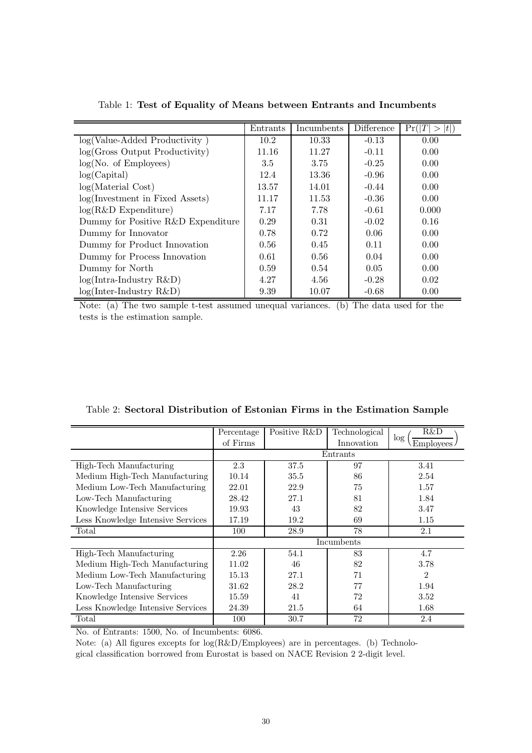<span id="page-30-0"></span>

|                                    | Entrants | Incumbents | Difference | t )<br>Pr( T |
|------------------------------------|----------|------------|------------|--------------|
| log(Value-Added Productivity)      | 10.2     | 10.33      | $-0.13$    | 0.00         |
| log(Gross Output Productivity)     | 11.16    | 11.27      | $-0.11$    | 0.00         |
| log(No. of Employees)              | 3.5      | 3.75       | $-0.25$    | 0.00         |
| log(Capital)                       | 12.4     | 13.36      | $-0.96$    | 0.00         |
| log(Material Cost)                 | 13.57    | 14.01      | $-0.44$    | 0.00         |
| log(Investment in Fixed Assets)    | 11.17    | 11.53      | $-0.36$    | 0.00         |
| $log(R&D\text{ Expenditure})$      | 7.17     | 7.78       | $-0.61$    | 0.000        |
| Dummy for Positive R&D Expenditure | 0.29     | 0.31       | $-0.02$    | 0.16         |
| Dummy for Innovator                | 0.78     | 0.72       | 0.06       | 0.00         |
| Dummy for Product Innovation       | 0.56     | 0.45       | 0.11       | 0.00         |
| Dummy for Process Innovation       | 0.61     | 0.56       | 0.04       | 0.00         |
| Dummy for North                    | 0.59     | 0.54       | 0.05       | 0.00         |
| $log(Intro-Industry R&D)$          | 4.27     | 4.56       | $-0.28$    | 0.02         |
| $log(Inter-Industry R&D)$          | 9.39     | 10.07      | $-0.68$    | 0.00         |

Table 1: Test of Equality of Means between Entrants and Incumbents

Note: (a) The two sample t-test assumed unequal variances. (b) The data used for the tests is the estimation sample.

|                                   | Percentage | Positive R&D | Technological | R&D<br>log |  |  |
|-----------------------------------|------------|--------------|---------------|------------|--|--|
|                                   | of Firms   |              | Innovation    | Employes   |  |  |
|                                   |            | Entrants     |               |            |  |  |
| High-Tech Manufacturing           | 2.3        | 37.5         | 97            | 3.41       |  |  |
| Medium High-Tech Manufacturing    | 10.14      | 35.5         | 86            | 2.54       |  |  |
| Medium Low-Tech Manufacturing     | 22.01      | 22.9         | 75            | 1.57       |  |  |
| Low-Tech Manufacturing            | 28.42      | 27.1         | 81            | 1.84       |  |  |
| Knowledge Intensive Services      | 19.93      | 43           | 82            | 3.47       |  |  |
| Less Knowledge Intensive Services | 17.19      | 19.2         | 69            | 1.15       |  |  |
| Total                             | 100        | 28.9         | 78            | 2.1        |  |  |
|                                   |            |              | Incumbents    |            |  |  |
| High-Tech Manufacturing           | 2.26       | 54.1         | 83            | 4.7        |  |  |
| Medium High-Tech Manufacturing    | 11.02      | 46           | 82            | 3.78       |  |  |
| Medium Low-Tech Manufacturing     | 15.13      | 27.1         | 71            | 2          |  |  |
| Low-Tech Manufacturing            | 31.62      | 28.2         | 77            | 1.94       |  |  |
| Knowledge Intensive Services      | 15.59      | 41           | 72            | 3.52       |  |  |
| Less Knowledge Intensive Services | 24.39      | 21.5         | 64            | 1.68       |  |  |
| Total                             | 100        | 30.7         | 72            | 2.4        |  |  |

<span id="page-30-1"></span>Table 2: Sectoral Distribution of Estonian Firms in the Estimation Sample

No. of Entrants: 1500, No. of Incumbents: 6086.

Note: (a) All figures excepts for log(R&D/Employees) are in percentages. (b) Technological classification borrowed from Eurostat is based on NACE Revision 2 2-digit level.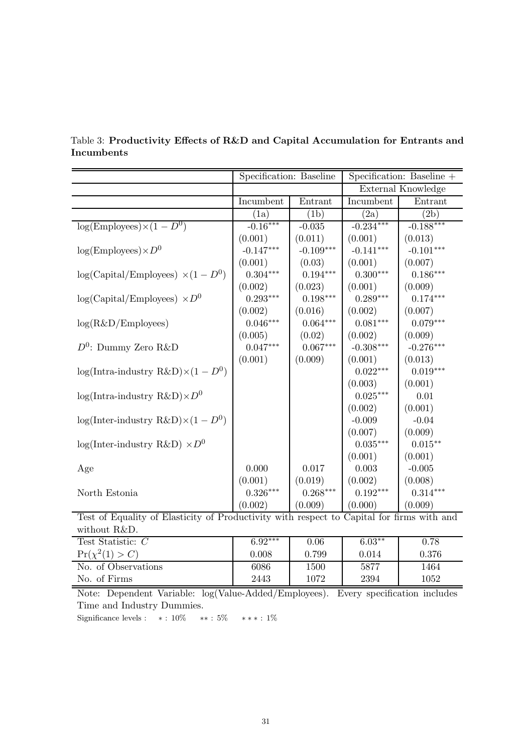|                                                                                           | Specification: Baseline |             | Specification: Baseline + |                    |  |
|-------------------------------------------------------------------------------------------|-------------------------|-------------|---------------------------|--------------------|--|
|                                                                                           |                         |             |                           | External Knowledge |  |
|                                                                                           | Incumbent               | Entrant     | Incumbent                 | Entrant            |  |
|                                                                                           | (1a)                    | (1b)        | (2a)                      | (2b)               |  |
| $log(Employes) \times (1 - D^0)$                                                          | $-0.16***$              | $-0.035$    | $-0.234***$               | $-0.188***$        |  |
|                                                                                           | (0.001)                 | (0.011)     | (0.001)                   | (0.013)            |  |
| $log(Employes) \times D^0$                                                                | $-0.147***$             | $-0.109***$ | $-0.141***$               | $-0.101***$        |  |
|                                                                                           | (0.001)                 | (0.03)      | (0.001)                   | (0.007)            |  |
| $log(Capital/Employes) \times (1 - D^0)$                                                  | $0.304***$              | $0.194***$  | $0.300***$                | $0.186***$         |  |
|                                                                                           | (0.002)                 | (0.023)     | (0.001)                   | (0.009)            |  |
| $log(Capital/Employes) \times D^0$                                                        | $0.293***$              | $0.198***$  | $0.289***$                | $0.174***$         |  |
|                                                                                           | (0.002)                 | (0.016)     | (0.002)                   | (0.007)            |  |
| log(R&D/Employes)                                                                         | $0.046***$              | $0.064***$  | $0.081***$                | $0.079***$         |  |
|                                                                                           | (0.005)                 | (0.02)      | (0.002)                   | (0.009)            |  |
| $D^0$ : Dummy Zero R&D                                                                    | $0.047***$              | $0.067***$  | $-0.308***$               | $-0.276***$        |  |
|                                                                                           | (0.001)                 | (0.009)     | (0.001)                   | (0.013)            |  |
| $log(Intra-industry R&D)\times(1-D^0)$                                                    |                         |             | $0.022***$                | $0.019***$         |  |
|                                                                                           |                         |             | (0.003)                   | (0.001)            |  |
| $log(Intro\text{-}industry R&D)\times D^0$                                                |                         |             | $0.025***$                | 0.01               |  |
|                                                                                           |                         |             | (0.002)                   | (0.001)            |  |
| $log(Inter-industry R&D)\times(1-D^0)$                                                    |                         |             | $-0.009$                  | $-0.04$            |  |
|                                                                                           |                         |             | (0.007)                   | (0.009)            |  |
| $log(Inter-industry R&D) \times D^0$                                                      |                         |             | $0.035^{\ast\ast\ast}$    | $0.015***$         |  |
|                                                                                           |                         |             | (0.001)                   | (0.001)            |  |
| Age                                                                                       | 0.000                   | 0.017       | 0.003                     | $-0.005$           |  |
|                                                                                           | (0.001)                 | (0.019)     | (0.002)                   | (0.008)            |  |
| North Estonia                                                                             | $0.326***$              | $0.268***$  | $0.192***$                | $0.314***$         |  |
|                                                                                           | (0.002)                 | (0.009)     | (0.000)                   | (0.009)            |  |
| Test of Equality of Elasticity of Productivity with respect to Capital for firms with and |                         |             |                           |                    |  |
| without R&D.                                                                              |                         |             |                           |                    |  |

## <span id="page-31-0"></span>Table 3: Productivity Effects of R&D and Capital Accumulation for Entrants and Incumbents

| W1011001011085D     |           |       |          |       |
|---------------------|-----------|-------|----------|-------|
| Test Statistic: $C$ | $6.92***$ | 0.06  | $6.03**$ | 0.78  |
| $Pr(\chi^2(1) > C)$ | 0.008     | 0.799 | 0.014    | 0.376 |
| No. of Observations | 6086      | 1500  | 5877     | 1464  |
| No. of Firms        | 2443      | 1072  | 2394     | 1052  |

Note: Dependent Variable: log(Value-Added/Employees). Every specification includes Time and Industry Dummies.

 ${\rm Significance~levels:~~*:~10\%~~***:~5\%~~***:~1\%}$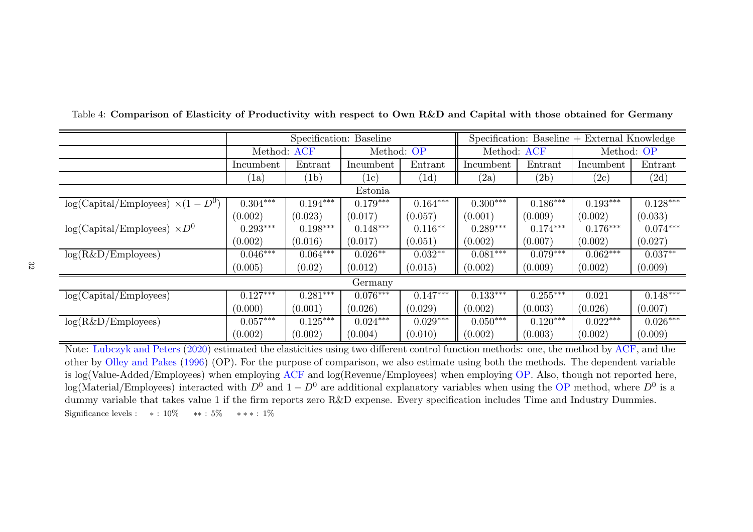|                                          | Specification: Baseline |            |            | $Specification: Baseline + External Knowledge$ |                    |            |                             |            |
|------------------------------------------|-------------------------|------------|------------|------------------------------------------------|--------------------|------------|-----------------------------|------------|
|                                          | Method: ACF             |            | Method: OP |                                                | Method: ACF        |            | Method: OP                  |            |
|                                          | Incumbent               | Entrant    | Incumbent  | Entrant                                        | Incumbent          | Entrant    | Incumbent                   | Entrant    |
|                                          | (a)                     | (1b)       | 1c         | (1d)                                           | $\left( 2a\right)$ | (2b)       | $\left( 2\mathrm{c}\right)$ | (2d)       |
|                                          |                         |            | Estonia    |                                                |                    |            |                             |            |
| $log(Capital/Employes) \times (1 - D^0)$ | $0.304***$              | $0.194***$ | $0.179***$ | $0.164***$                                     | $0.300***$         | $0.186***$ | $0.193***$                  | $0.128***$ |
|                                          | (0.002)                 | (0.023)    | (0.017)    | (0.057)                                        | (0.001)            | (0.009)    | (0.002)                     | (0.033)    |
| $log(Capital/Employes) \times D^0$       | $0.293***$              | $0.198***$ | $0.148***$ | $0.116**$                                      | $0.289***$         | $0.174***$ | $0.176***$                  | $0.074***$ |
|                                          | (0.002)                 | (0.016)    | (0.017)    | (0.051)                                        | (0.002)            | (0.007)    | (0.002)                     | (0.027)    |
| $log(R\&D/Employes)$                     | $0.046***$              | $0.064***$ | $0.026**$  | $0.032**$                                      | $0.081***$         | $0.079***$ | $0.062***$                  | $0.037**$  |
|                                          | (0.005)                 | (0.02)     | (0.012)    | (0.015)                                        | (0.002)            | (0.009)    | (0.002)                     | (0.009)    |
| Germany                                  |                         |            |            |                                                |                    |            |                             |            |
| log(Capital/Employes)                    | $0.127***$              | $0.281***$ | $0.076***$ | $0.147***$                                     | $0.133***$         | $0.255***$ | 0.021                       | $0.148***$ |
|                                          | (0.000)                 | (0.001)    | (0.026)    | (0.029)                                        | (0.002)            | (0.003)    | (0.026)                     | (0.007)    |
| $log(R\&D/Employes)$                     | $0.057***$              | $0.125***$ | $0.024***$ | $0.029***$                                     | $0.050***$         | $0.120***$ | $0.022***$                  | $0.026***$ |
|                                          | (0.002)                 | (0.002)    | (0.004)    | (0.010)                                        | (0.002)            | (0.003)    | (0.002)                     | (0.009)    |

Table 4: Comparison of Elasticity of Productivity with respect to Own R&D and Capital with those obtained for Germany

<span id="page-32-0"></span>Note: [Lubczyk](#page-24-19) and Peters [\(2020](#page-24-19)) estimated the elasticities using two different control function methods: one, the method by [ACF](#page-22-9), and the other by [Olley](#page-25-16) and Pakes [\(1996](#page-25-16)) (OP). For the purpose of comparison, we also estimate using both the methods. The dependent variable is log(Value-Added/Employees) when employing  $ACF$  and log(Revenue/Employees) when employing  $OP$ . Also, though not reported here, log(Material/Employees) interacted with  $D^0$  and  $1 - D^0$  are additional explanatory variables when using the [OP](#page-25-16) method, where  $D^0$  is a dummy variable that takes value 1 if the firm reports zero R&D expense. Every specification includes Time and Industry Dummies. Significance levels :  $* : 10\%$   $** : 5\%$   $** * : 1\%$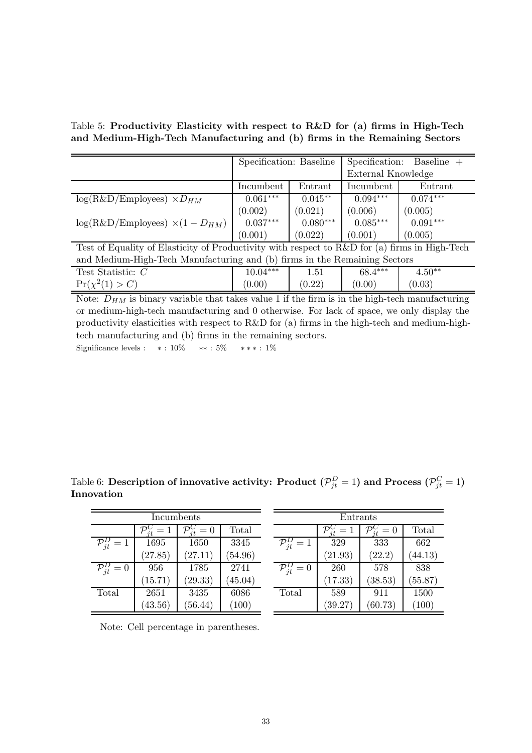Table 5: Productivity Elasticity with respect to R&D for (a) firms in High-Tech and Medium-High-Tech Manufacturing and (b) firms in the Remaining Sectors

<span id="page-33-0"></span>

|                                                                                               | Specification: Baseline |            | Specification:<br>$Baseline +$ |            |  |
|-----------------------------------------------------------------------------------------------|-------------------------|------------|--------------------------------|------------|--|
|                                                                                               |                         |            | External Knowledge             |            |  |
|                                                                                               | Incumbent               | Entrant    | Incumbent                      | Entrant    |  |
| $log(R\&D/Employes) \times D_{HM}$                                                            | $0.061***$              | $0.045**$  | $0.094***$                     | $0.074***$ |  |
|                                                                                               | (0.002)                 | (0.021)    | (0.006)                        | (0.005)    |  |
| $log(R\&D/Employes) \times (1 - D_{HM})$                                                      | $0.037***$              | $0.080***$ | $0.085***$                     | $0.091***$ |  |
|                                                                                               | (0.001)                 | (0.022)    | (0.001)                        | (0.005)    |  |
| Test of Equality of Elasticity of Productivity with respect to R&D for (a) firms in High-Tech |                         |            |                                |            |  |
| and Medium-High-Tech Manufacturing and (b) firms in the Remaining Sectors                     |                         |            |                                |            |  |
| Test Statistic: $C$                                                                           | $10.04***$              | 1.51       | 68.4***                        | $4.50**$   |  |
| $Pr(\chi^2(1) > C)$                                                                           | (0.00)                  | (0.22)     | (0.00)                         | (0.03)     |  |

Note:  $D_{HM}$  is binary variable that takes value 1 if the firm is in the high-tech manufacturing or medium-high-tech manufacturing and 0 otherwise. For lack of space, we only display the productivity elasticities with respect to R&D for (a) firms in the high-tech and medium-hightech manufacturing and (b) firms in the remaining sectors. Significance levels :  $* : 10\%$   $* * : 5\%$   $* * * : 1\%$ 

<span id="page-33-1"></span>Incumbents  $\mathcal{P}_{jt}^C = 1 \mid \mathcal{P}$  $\frac{C}{jt} = 0$  Total  $\mathcal{P}_{jt}^D = 1$  1695 1650 3345  $(27.85)$   $(27.11)$   $(54.96)$ Entrants  $\mathcal{P}^C_{it}$  $\frac{C}{jt} = 1$ <br>329  $\frac{C}{jt} = 0$  Total  $\mathcal{P}_{jt}^D = 1$  329 333 662  $(21.93)$   $(22.2)$   $(44.13)$ 

 $\mathcal{P}_{jt}^D=0$  260 578 838

Total 589 911 1500

 $(17.33)$   $(38.53)$   $(55.87)$ 

 $(39.27)$   $(60.73)$   $(100)$ 

Table 6: Description of innovative activity: Product  $(\mathcal{P}_{jt}^D = 1)$  and Process  $(\mathcal{P}_{jt}^C = 1)$ Innovation

|  |  |  | Note: Cell percentage in parentheses. |
|--|--|--|---------------------------------------|
|--|--|--|---------------------------------------|

 $\mathcal{P}_{jt}^D=0$  956 1785 2741

Total 2651 3435 6086

 $(15.71)$   $(29.33)$   $(45.04)$ 

 $(43.56)$   $(56.44)$   $(100)$